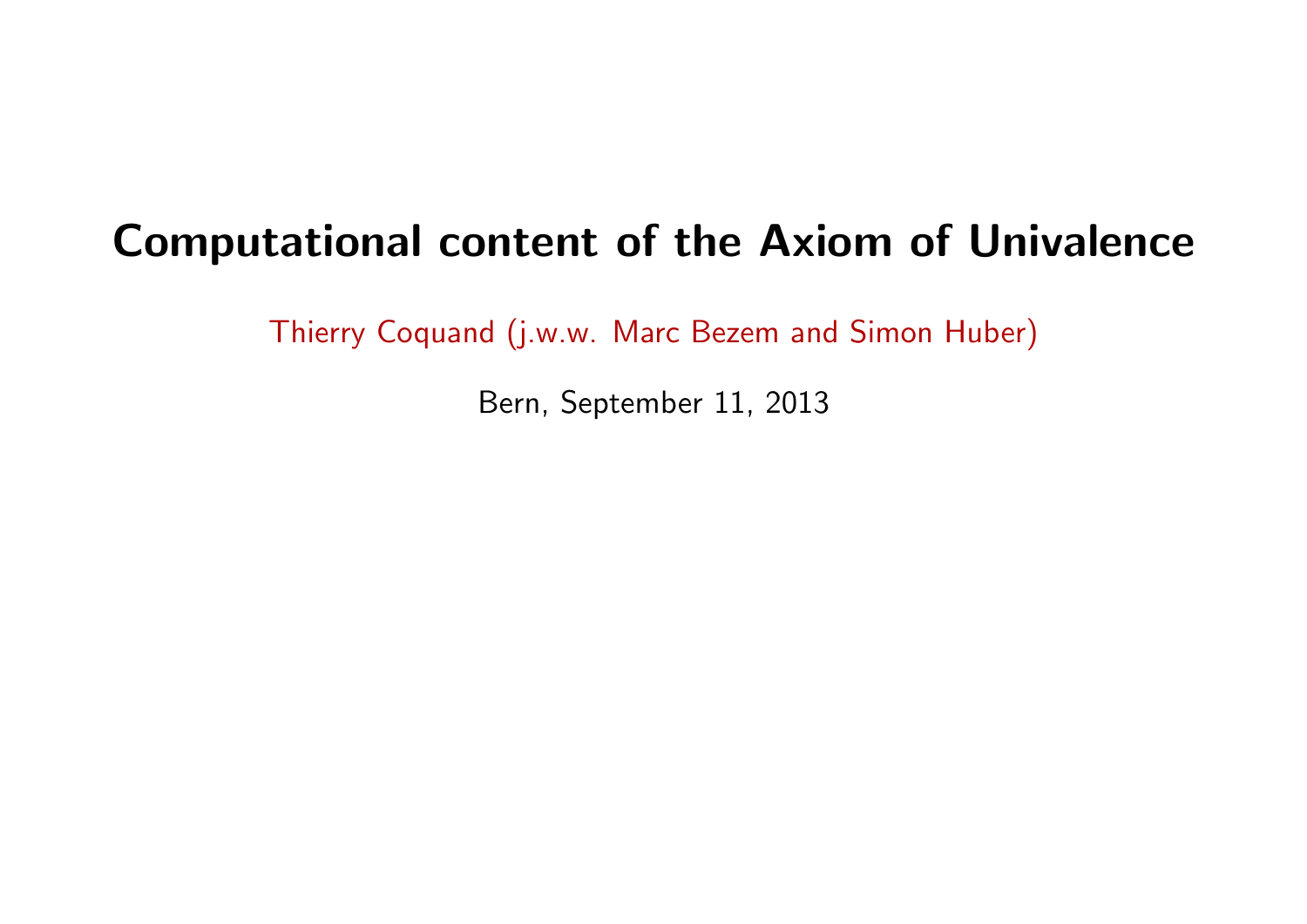# Computational content of the Axiom of Univalence

Thierry Coquand (j.w.w. Marc Bezem and Simon Huber)

Bern, September 11, 2013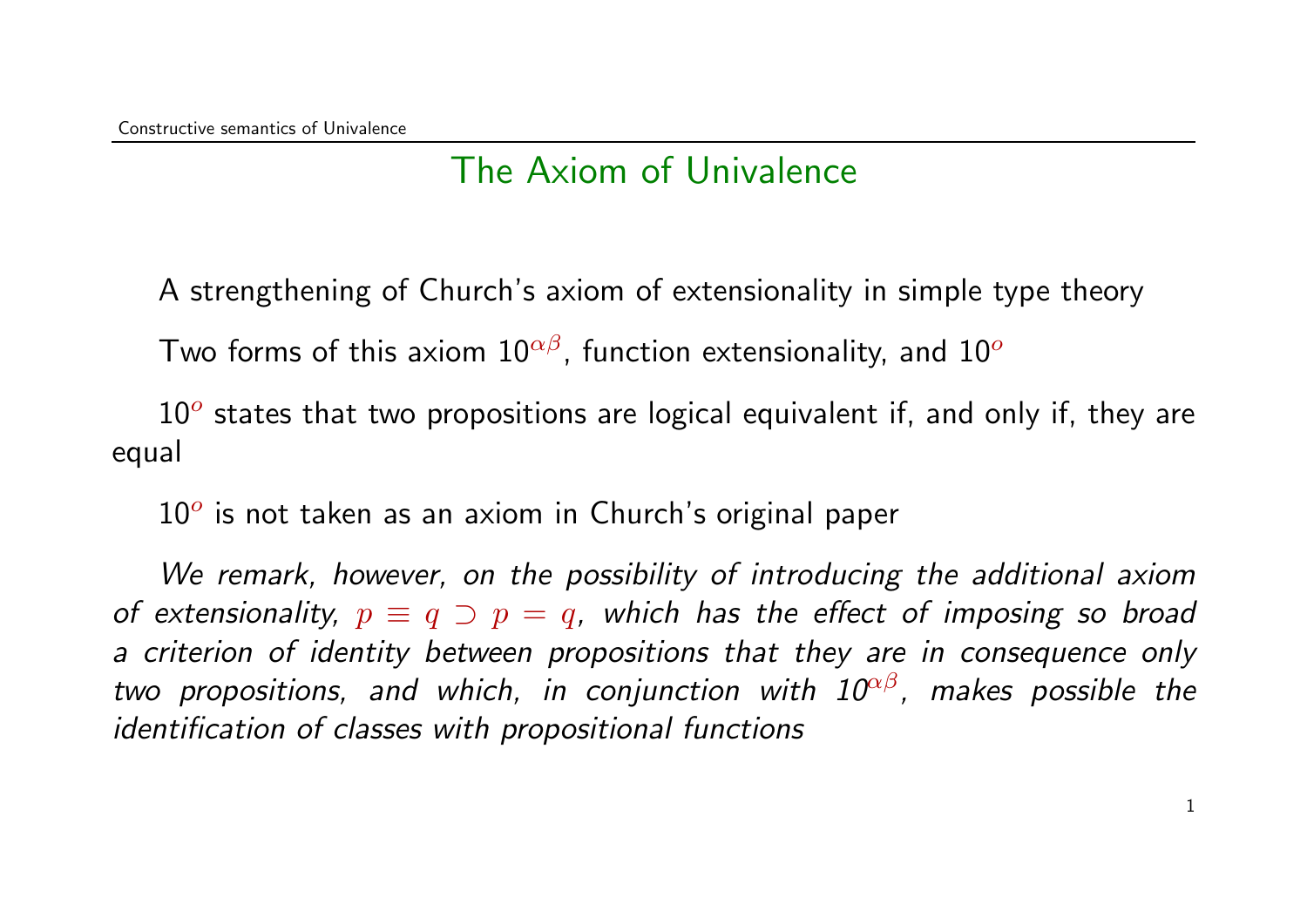#### The Axiom of Univalence

A strengthening of Church's axiom of extensionality in simple type theory

Two forms of this axiom  $10^{\alpha\beta}$ , function extensionality, and  $10^{\circ}$ 

 $10<sup>o</sup>$  states that two propositions are logical equivalent if, and only if, they are equal

 $10<sup>o</sup>$  is not taken as an axiom in Church's original paper

We remark, however, on the possibility of introducing the additional axiom of extensionality,  $p \equiv q \supset p = q$ , which has the effect of imposing so broad a criterion of identity between propositions that they are in consequence only two propositions, and which, in conjunction with  $10^{\alpha\beta}$ , makes possible the identification of classes with propositional functions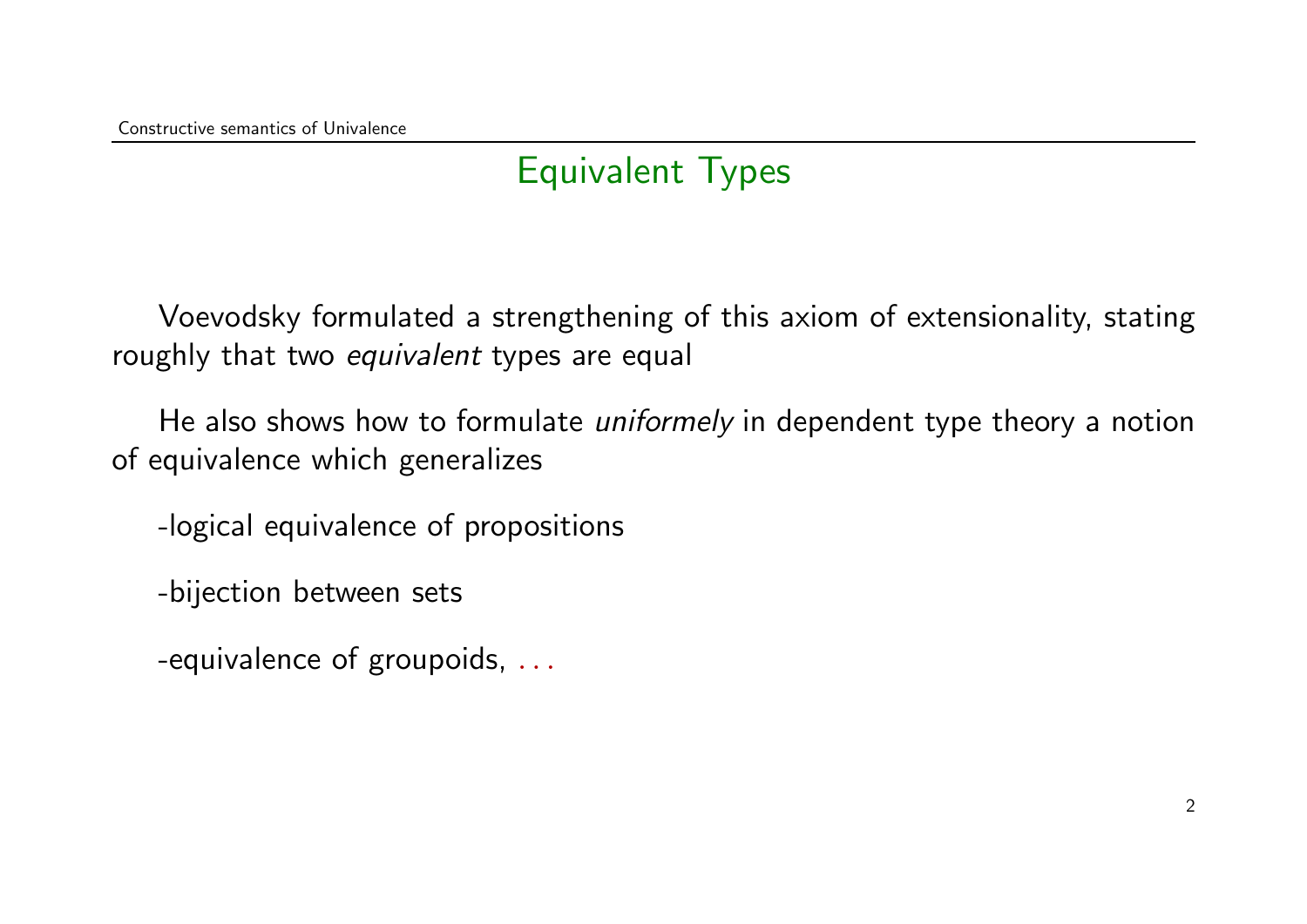## Equivalent Types

Voevodsky formulated a strengthening of this axiom of extensionality, stating roughly that two *equivalent* types are equal

He also shows how to formulate *uniformely* in dependent type theory a notion of equivalence which generalizes

-logical equivalence of propositions

-bijection between sets

-equivalence of groupoids, ...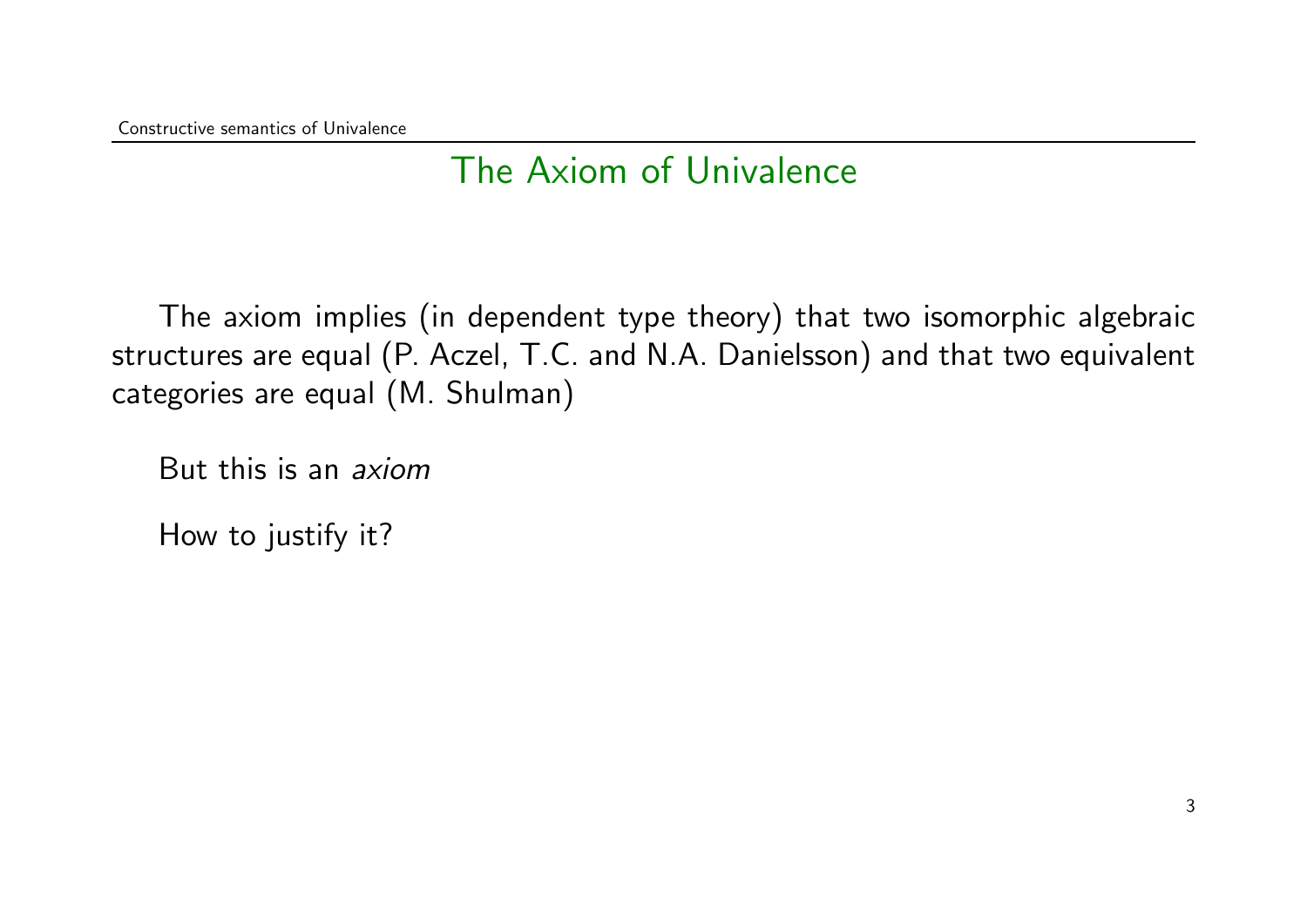### The Axiom of Univalence

The axiom implies (in dependent type theory) that two isomorphic algebraic structures are equal (P. Aczel, T.C. and N.A. Danielsson) and that two equivalent categories are equal (M. Shulman)

But this is an axiom

How to justify it?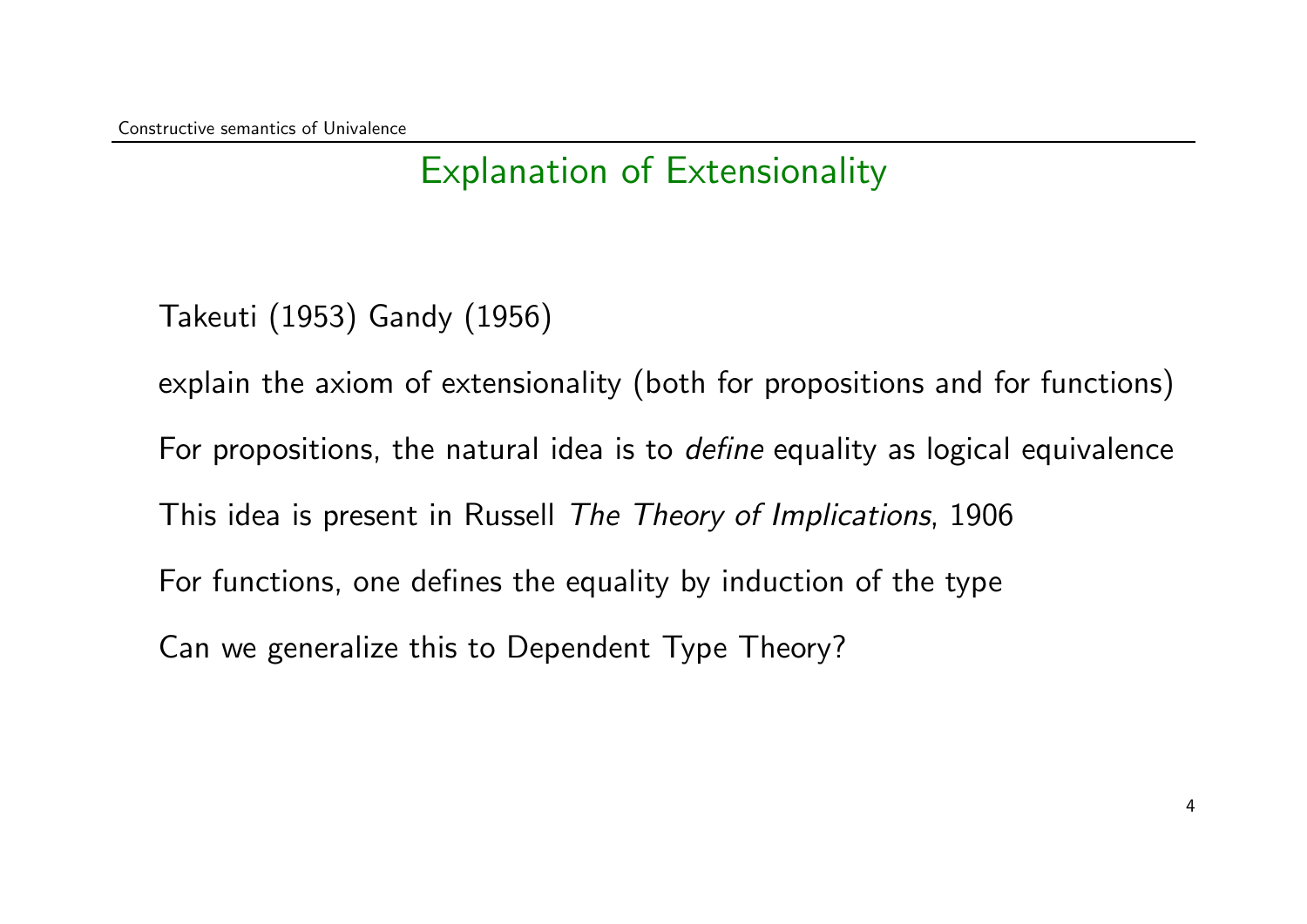### Explanation of Extensionality

Takeuti (1953) Gandy (1956)

explain the axiom of extensionality (both for propositions and for functions) For propositions, the natural idea is to *define* equality as logical equivalence This idea is present in Russell The Theory of Implications, 1906 For functions, one defines the equality by induction of the type Can we generalize this to Dependent Type Theory?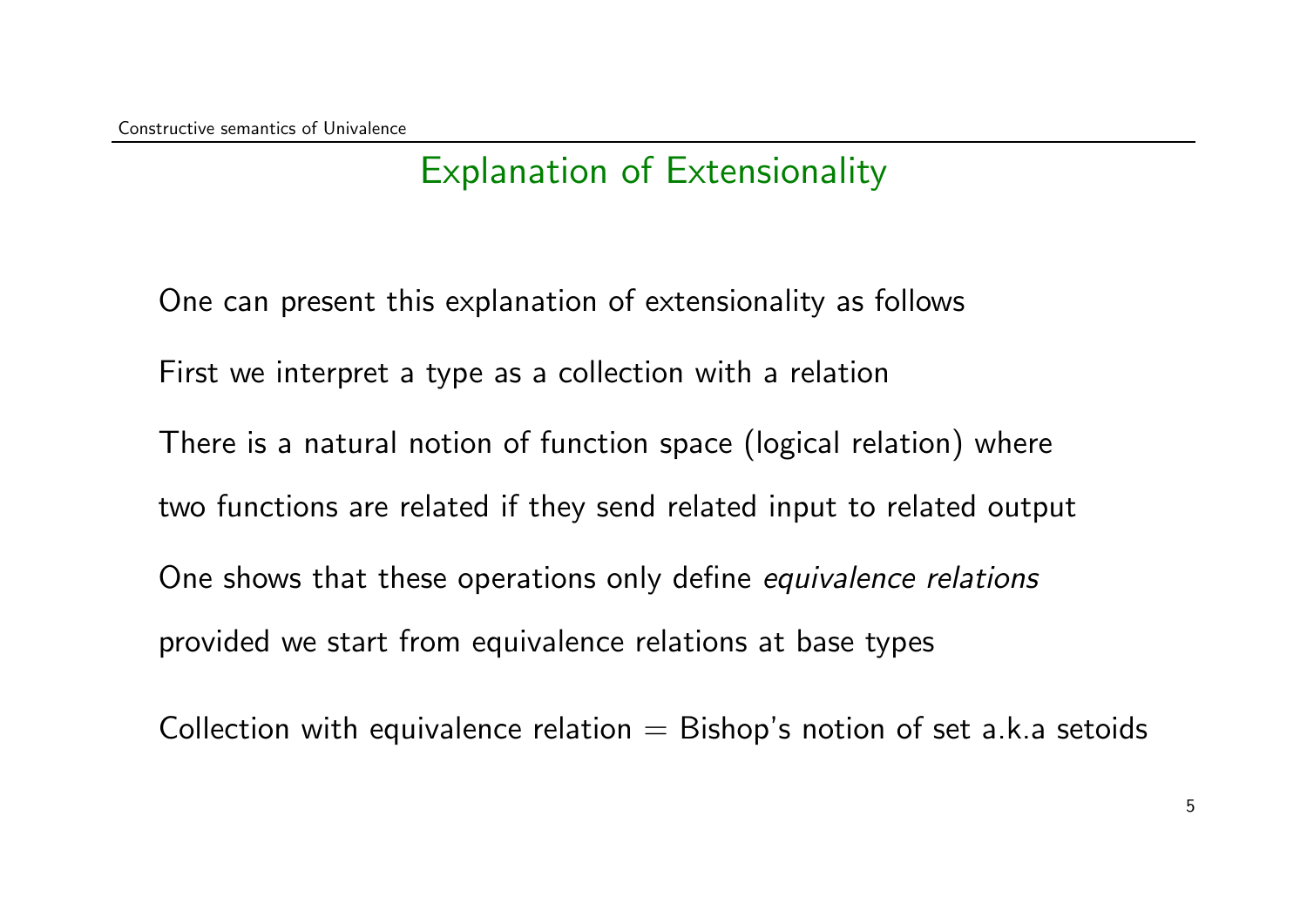### Explanation of Extensionality

One can present this explanation of extensionality as follows First we interpret a type as a collection with a relation There is a natural notion of function space (logical relation) where two functions are related if they send related input to related output One shows that these operations only define equivalence relations provided we start from equivalence relations at base types

Collection with equivalence relation  $=$  Bishop's notion of set a.k.a setoids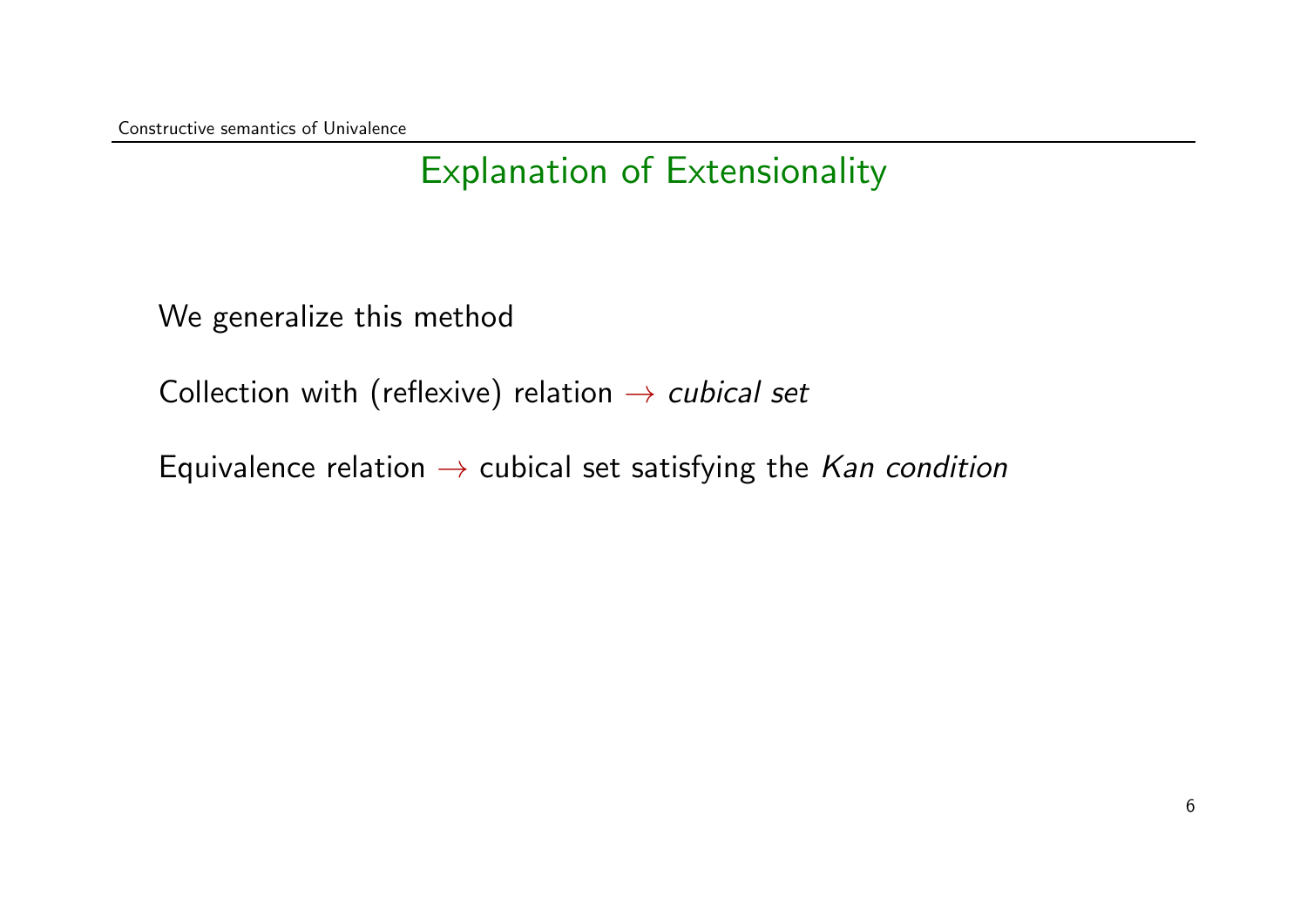### Explanation of Extensionality

We generalize this method

Collection with (reflexive) relation  $\rightarrow$  cubical set

Equivalence relation  $\rightarrow$  cubical set satisfying the *Kan condition*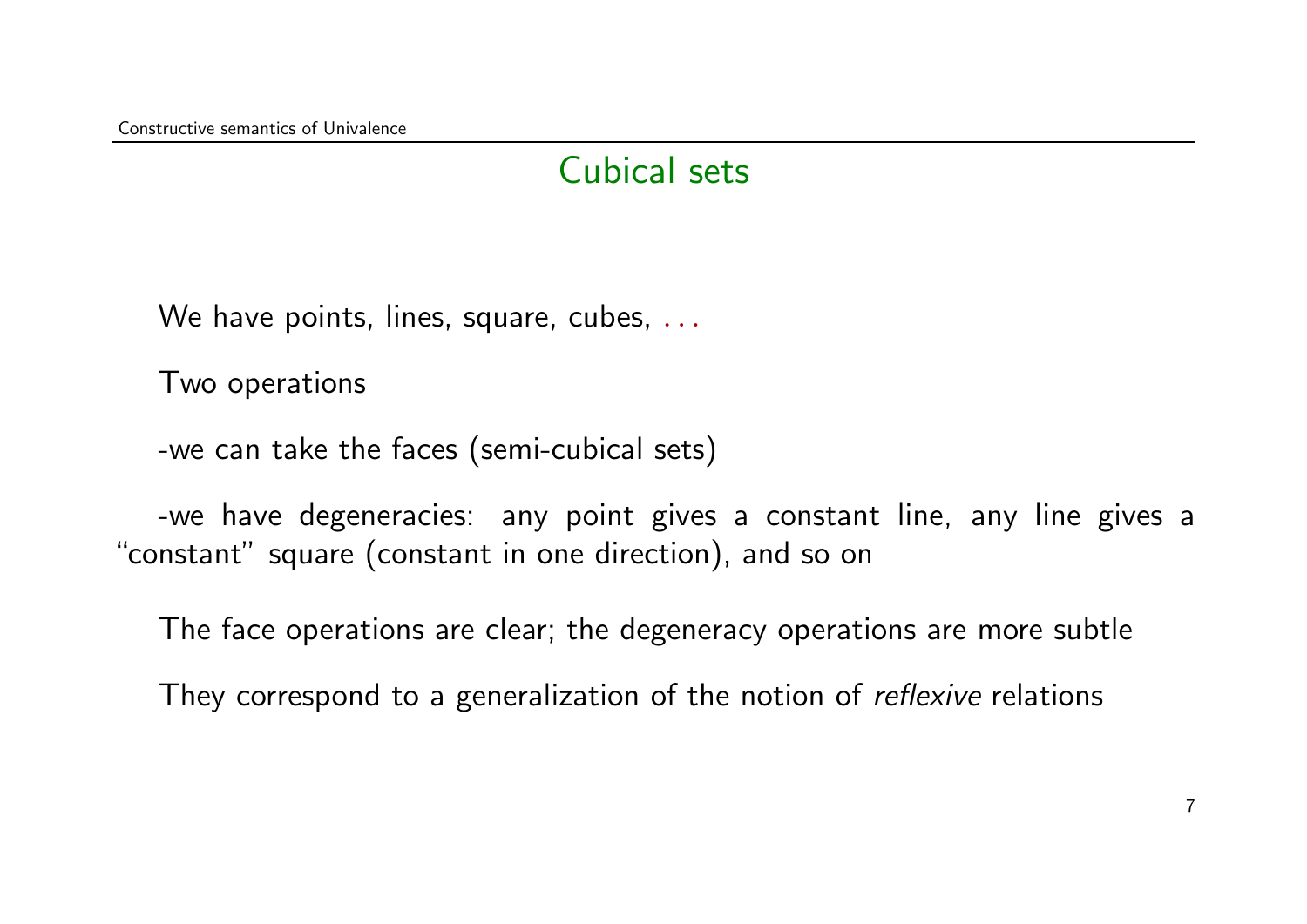#### Cubical sets

We have points, lines, square, cubes, ...

Two operations

-we can take the faces (semi-cubical sets)

-we have degeneracies: any point gives a constant line, any line gives a "constant" square (constant in one direction), and so on

The face operations are clear; the degeneracy operations are more subtle

They correspond to a generalization of the notion of *reflexive* relations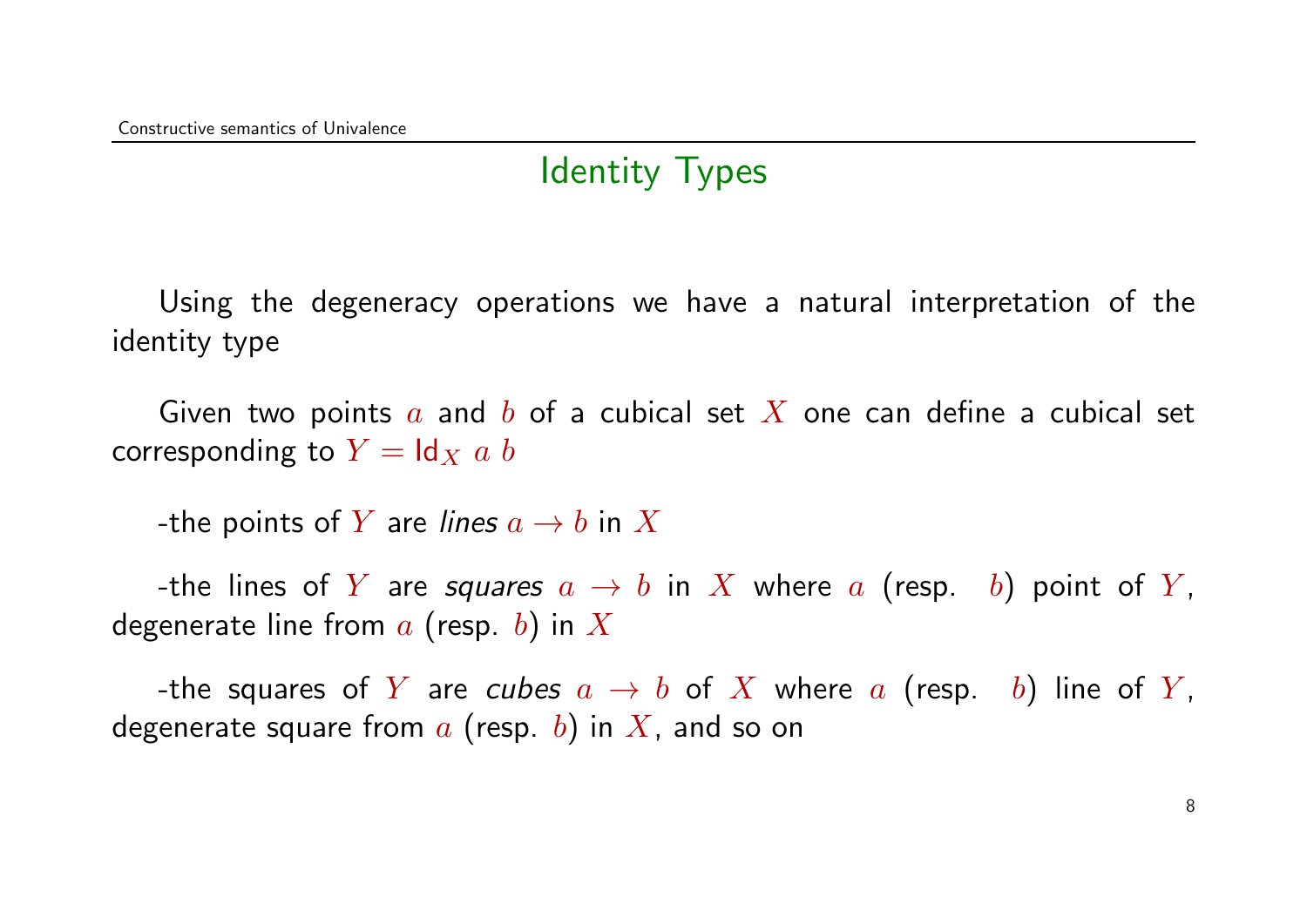### Identity Types

Using the degeneracy operations we have a natural interpretation of the identity type

Given two points a and b of a cubical set X one can define a cubical set corresponding to  $Y = \text{Id}_X$  a b

-the points of Y are lines  $a \rightarrow b$  in X

-the lines of Y are squares  $a \rightarrow b$  in X where a (resp. b) point of Y, degenerate line from  $a$  (resp. b) in X

-the squares of Y are cubes  $a \rightarrow b$  of X where a (resp. b) line of Y, degenerate square from  $a$  (resp. b) in  $X$ , and so on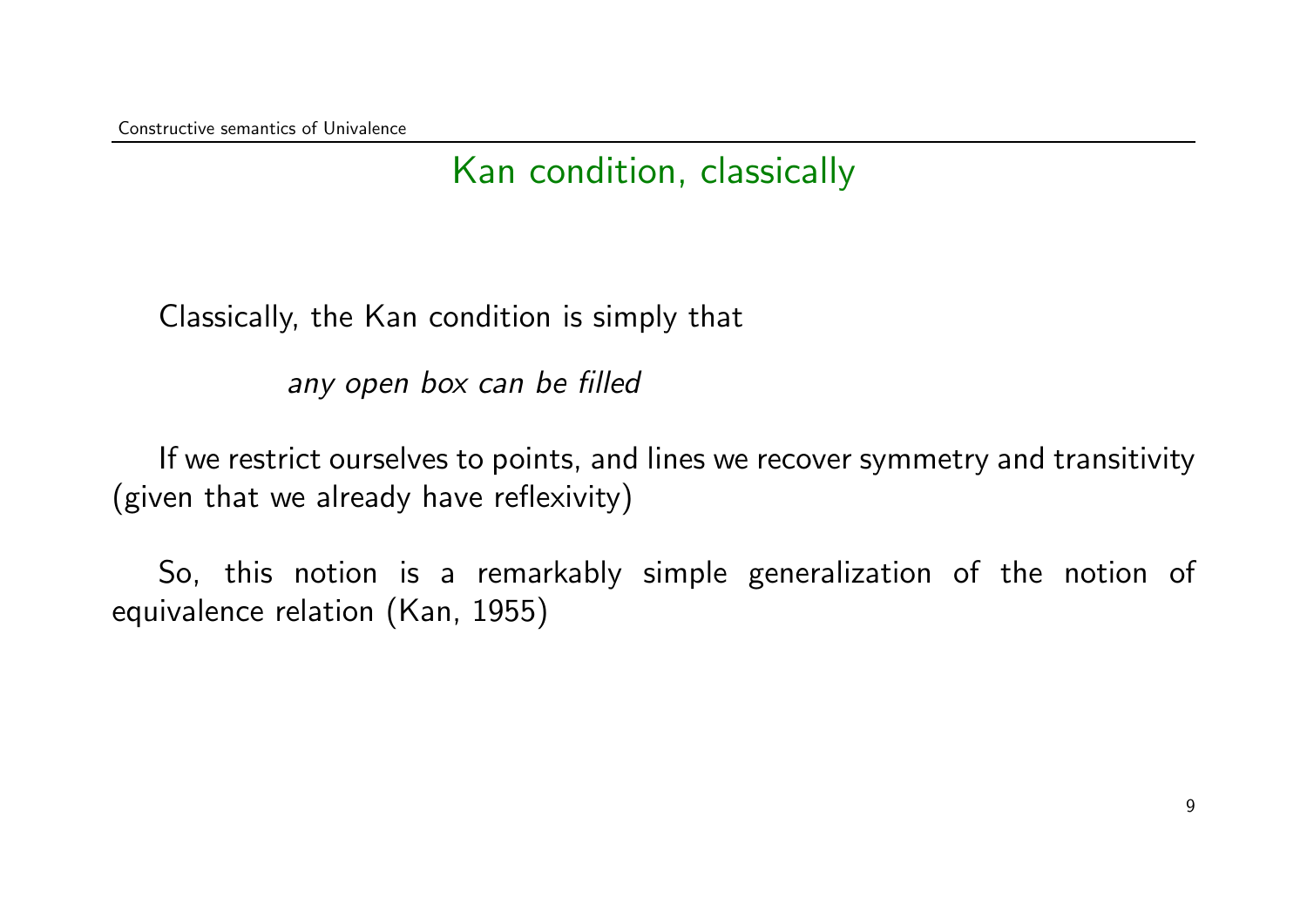### Kan condition, classically

Classically, the Kan condition is simply that

any open box can be filled

If we restrict ourselves to points, and lines we recover symmetry and transitivity (given that we already have reflexivity)

So, this notion is a remarkably simple generalization of the notion of equivalence relation (Kan, 1955)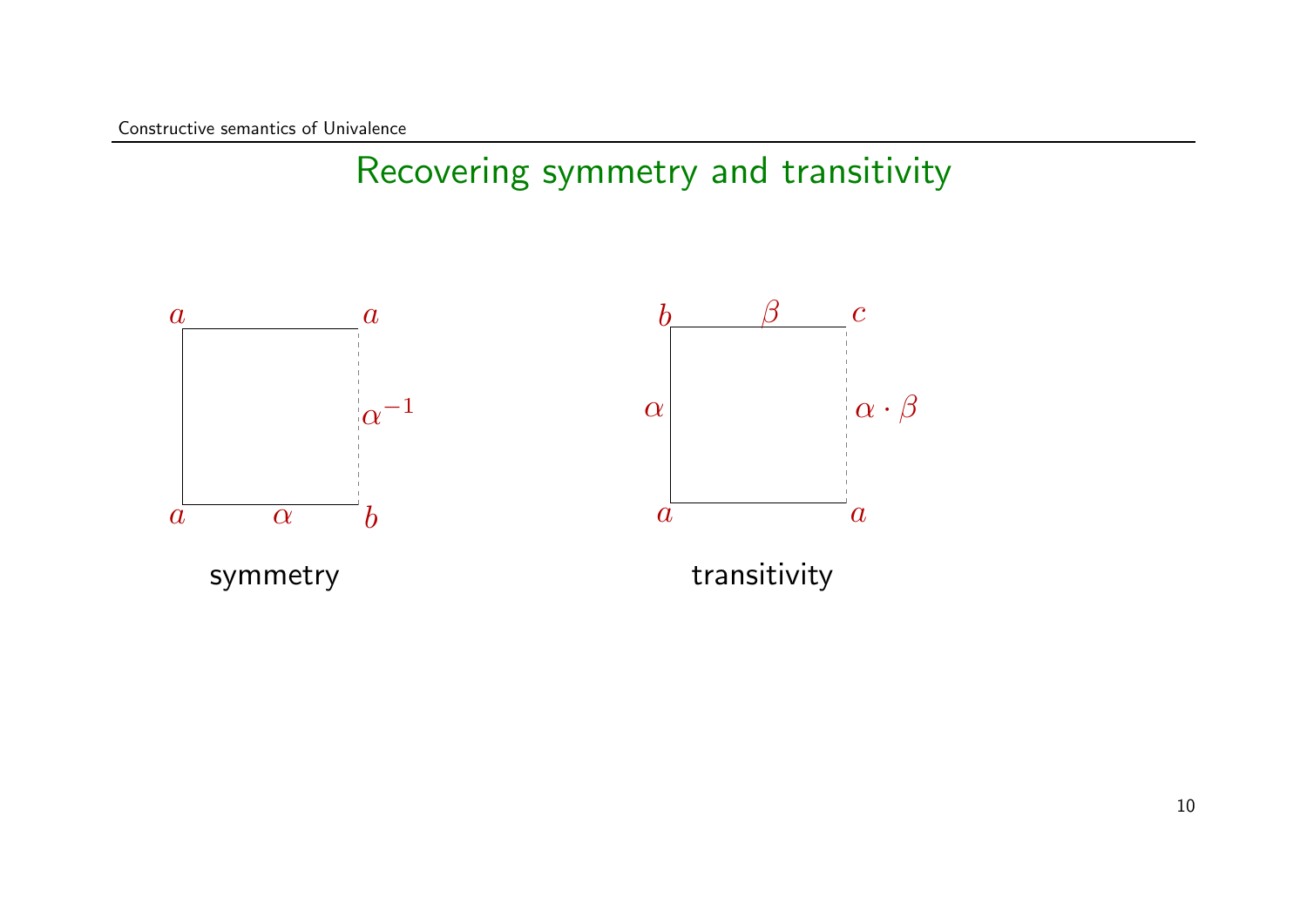### Recovering symmetry and transitivity

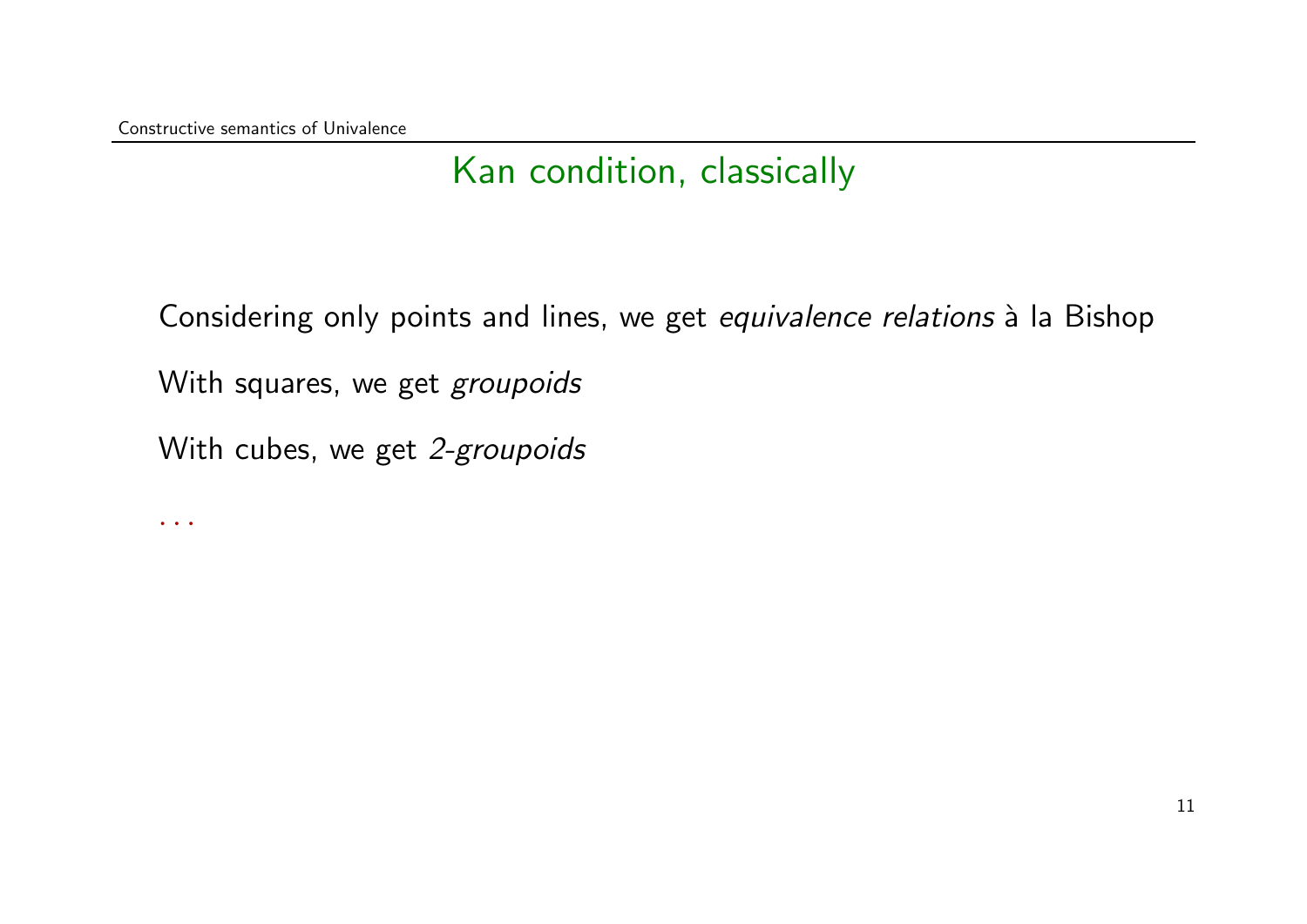$\ddot{\bullet}$  .  $\ddot{\bullet}$  .  $\ddot{\bullet}$ 

### Kan condition, classically

Considering only points and lines, we get equivalence relations à la Bishop With squares, we get groupoids With cubes, we get 2-groupoids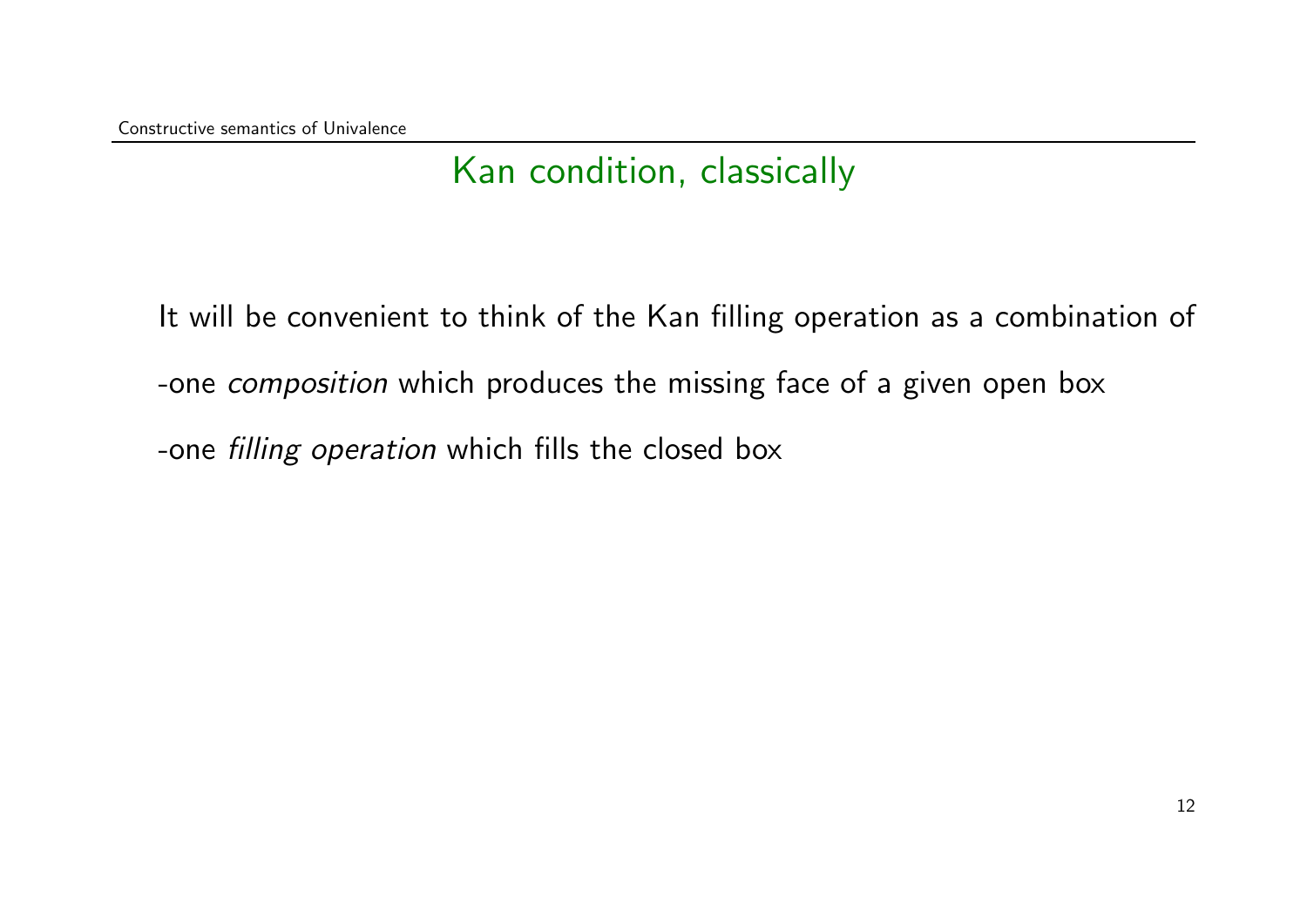### Kan condition, classically

It will be convenient to think of the Kan filling operation as a combination of -one *composition* which produces the missing face of a given open box -one filling operation which fills the closed box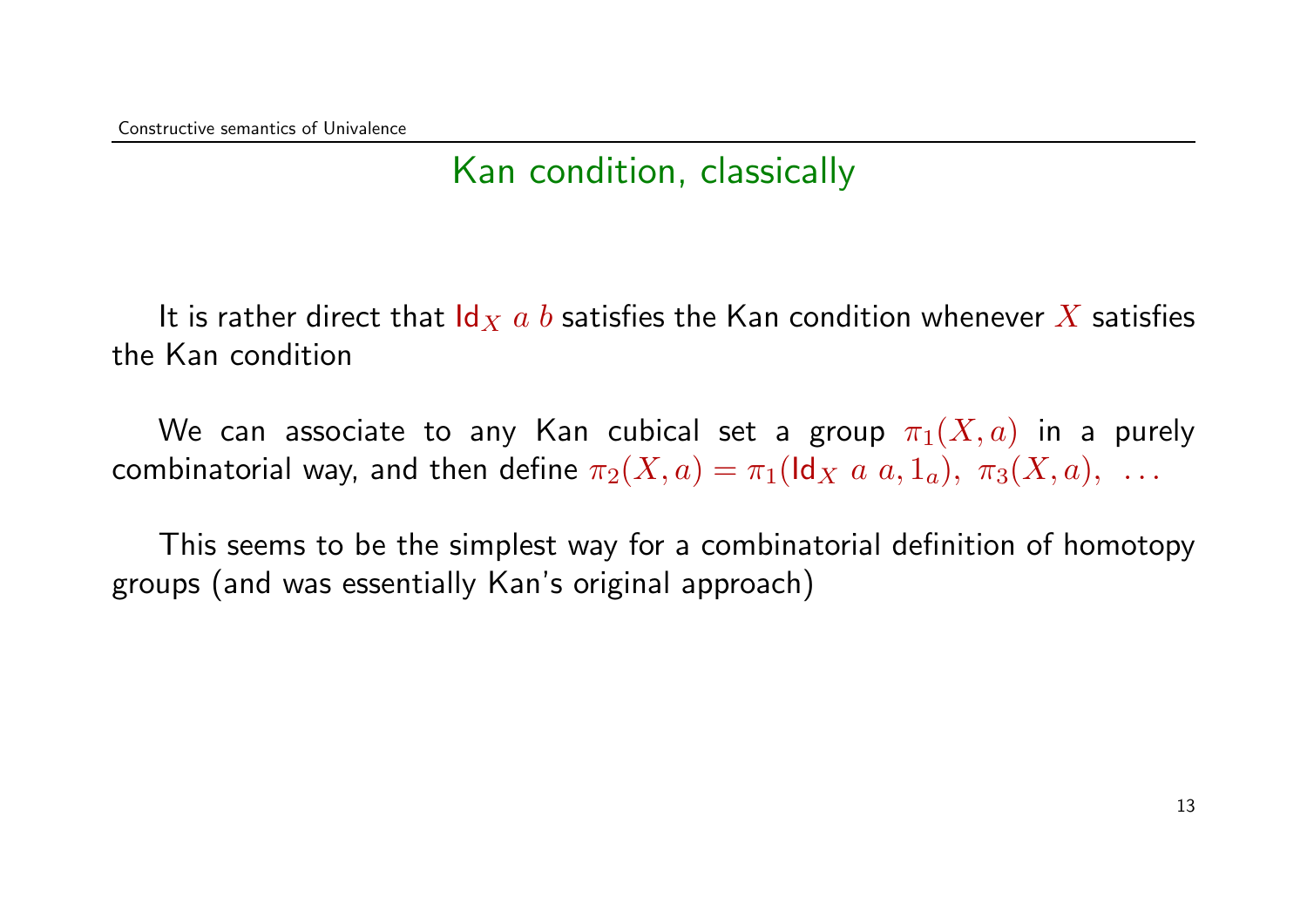#### Kan condition, classically

It is rather direct that  $\mathsf{Id}_X$  a b satisfies the Kan condition whenever X satisfies the Kan condition

We can associate to any Kan cubical set a group  $\pi_1(X, a)$  in a purely combinatorial way, and then define  $\pi_2(X, a) = \pi_1(\text{Id}_X a, a, 1_a), \pi_3(X, a), \ldots$ 

This seems to be the simplest way for a combinatorial definition of homotopy groups (and was essentially Kan's original approach)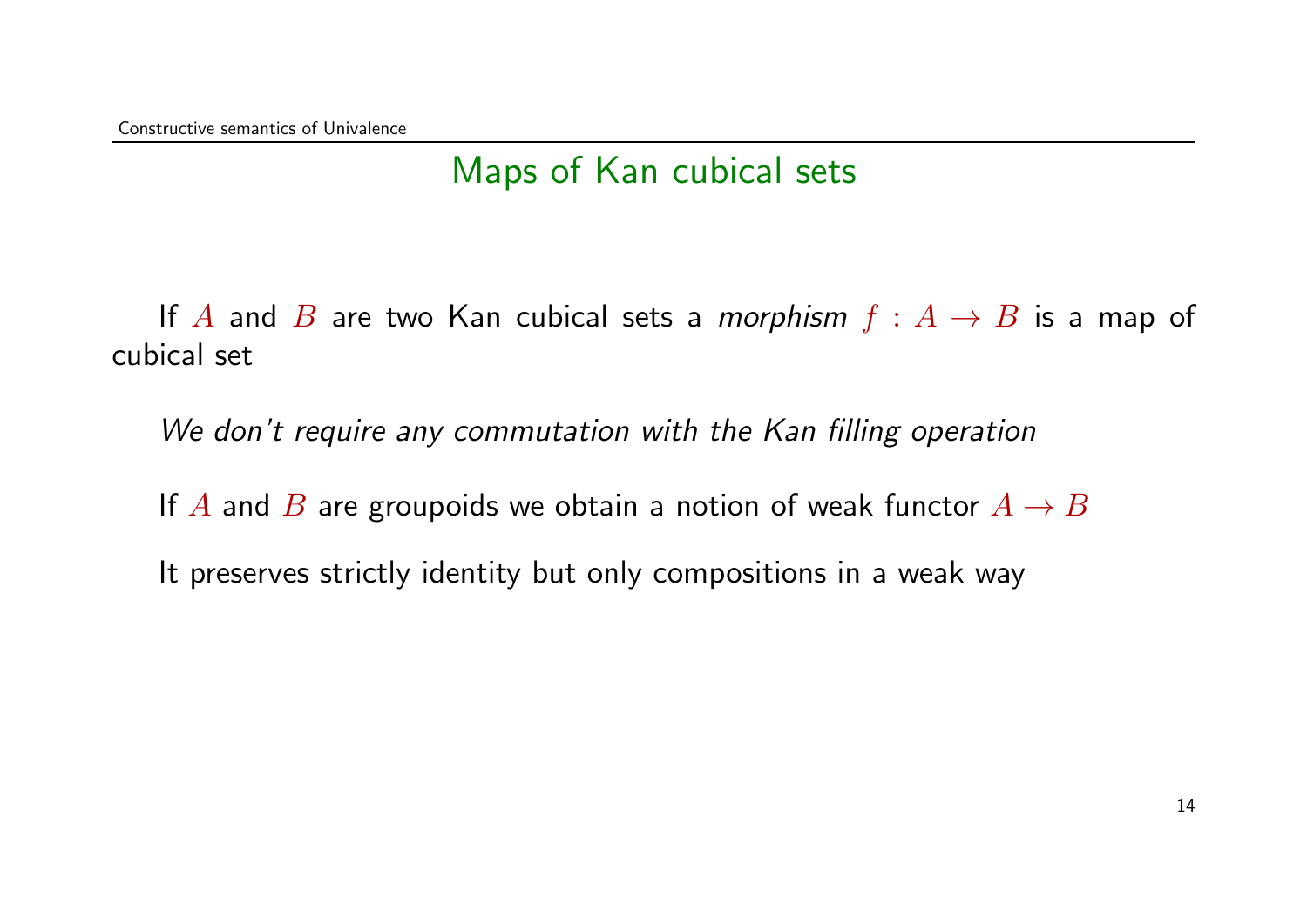### Maps of Kan cubical sets

If A and B are two Kan cubical sets a *morphism*  $f : A \rightarrow B$  is a map of cubical set

We don't require any commutation with the Kan filling operation

If A and B are groupoids we obtain a notion of weak functor  $A \rightarrow B$ 

It preserves strictly identity but only compositions in a weak way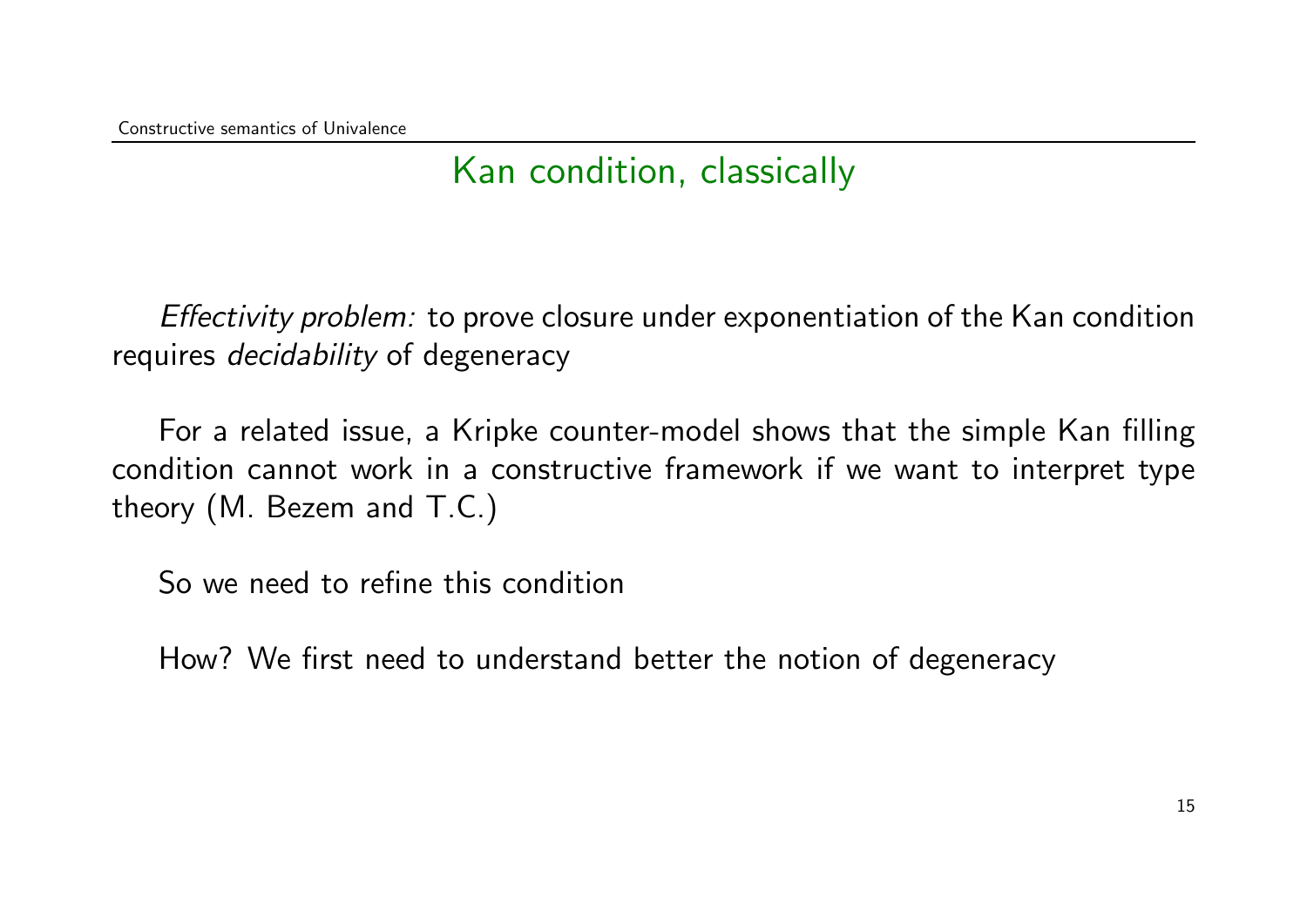### Kan condition, classically

Effectivity problem: to prove closure under exponentiation of the Kan condition requires *decidability* of degeneracy

For a related issue, a Kripke counter-model shows that the simple Kan filling condition cannot work in a constructive framework if we want to interpret type theory (M. Bezem and T.C.)

So we need to refine this condition

How? We first need to understand better the notion of degeneracy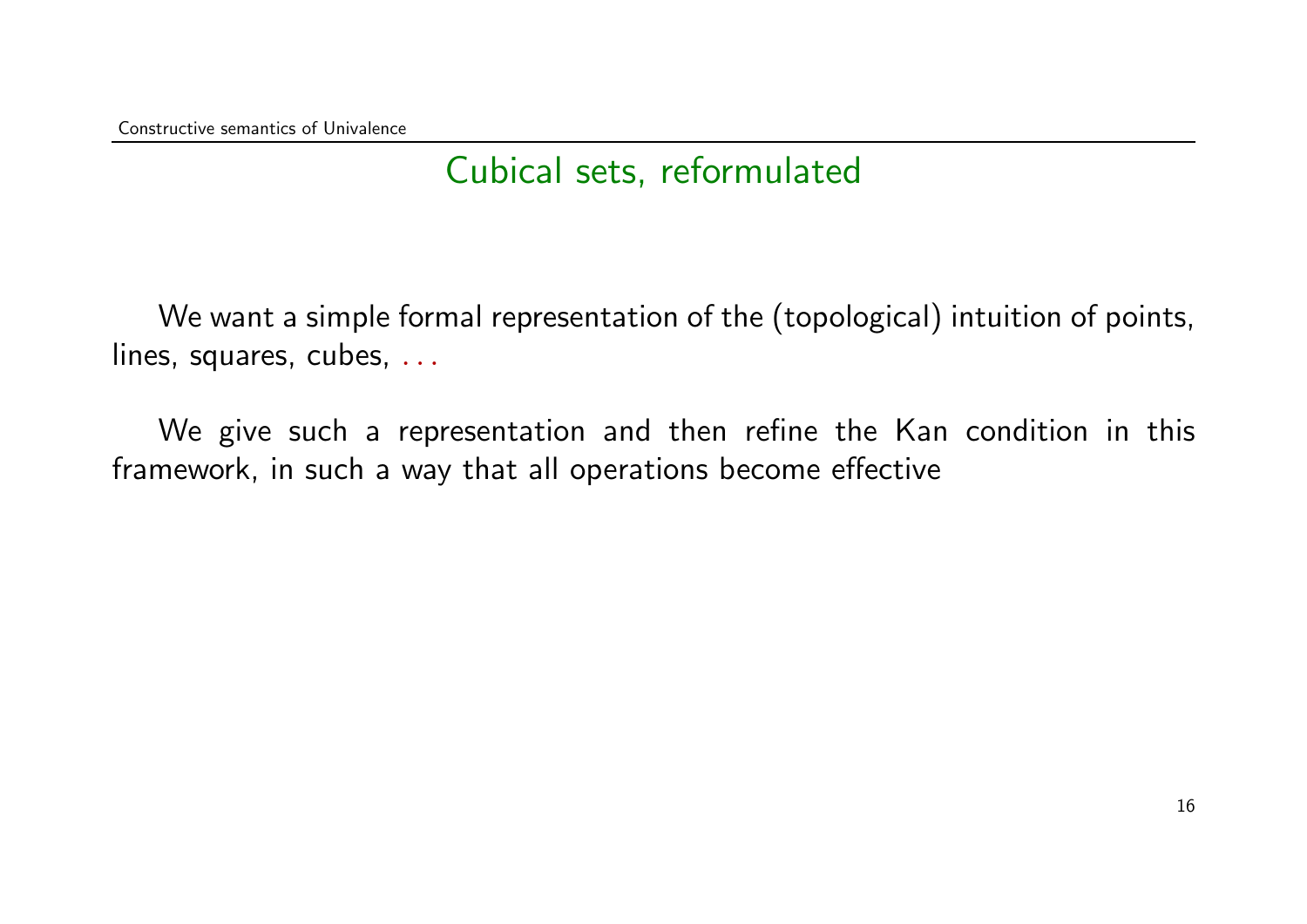We want a simple formal representation of the (topological) intuition of points, lines, squares, cubes, ...

We give such a representation and then refine the Kan condition in this framework, in such a way that all operations become effective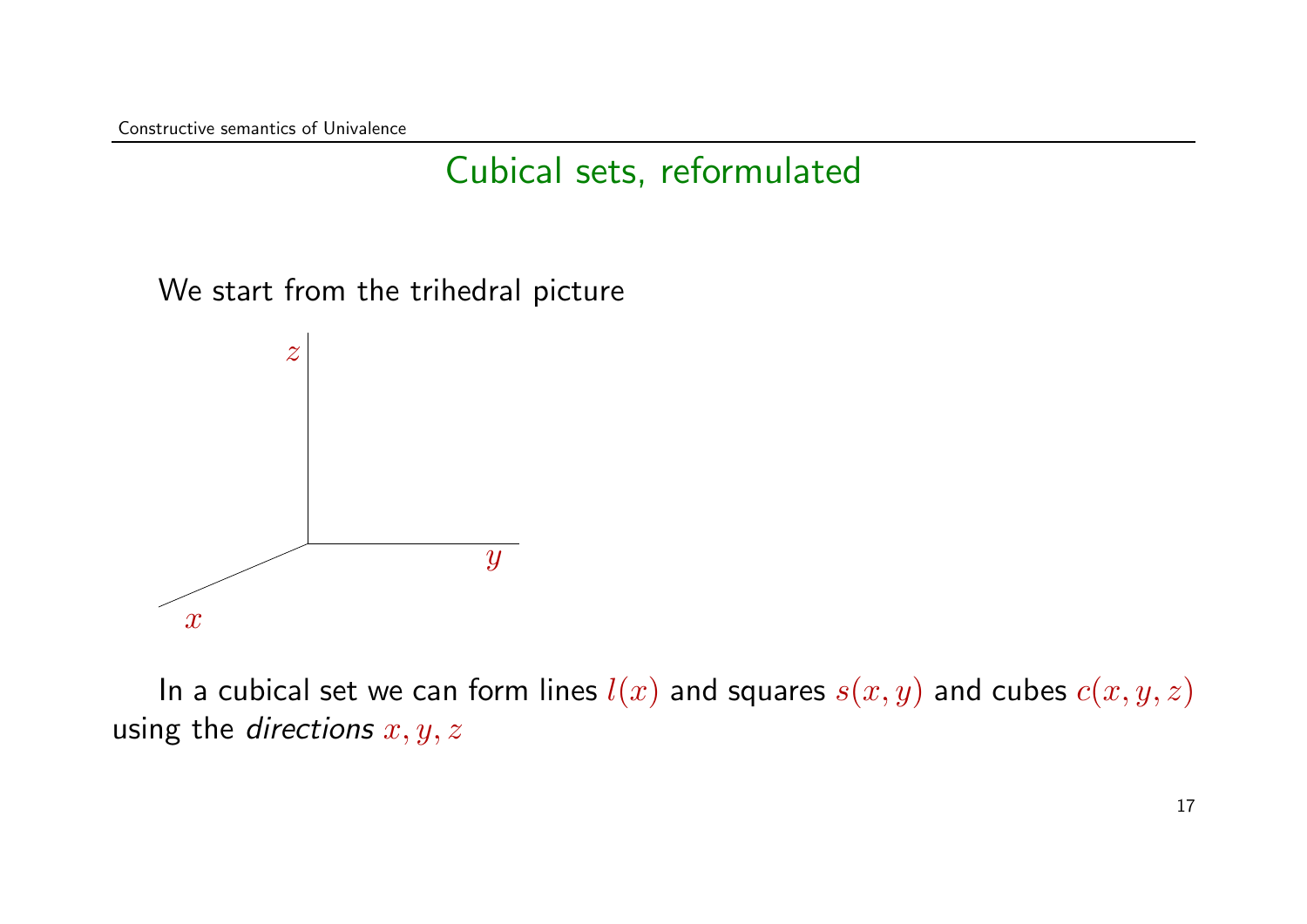We start from the trihedral picture



In a cubical set we can form lines  $l(x)$  and squares  $s(x, y)$  and cubes  $c(x, y, z)$ using the directions  $x, y, z$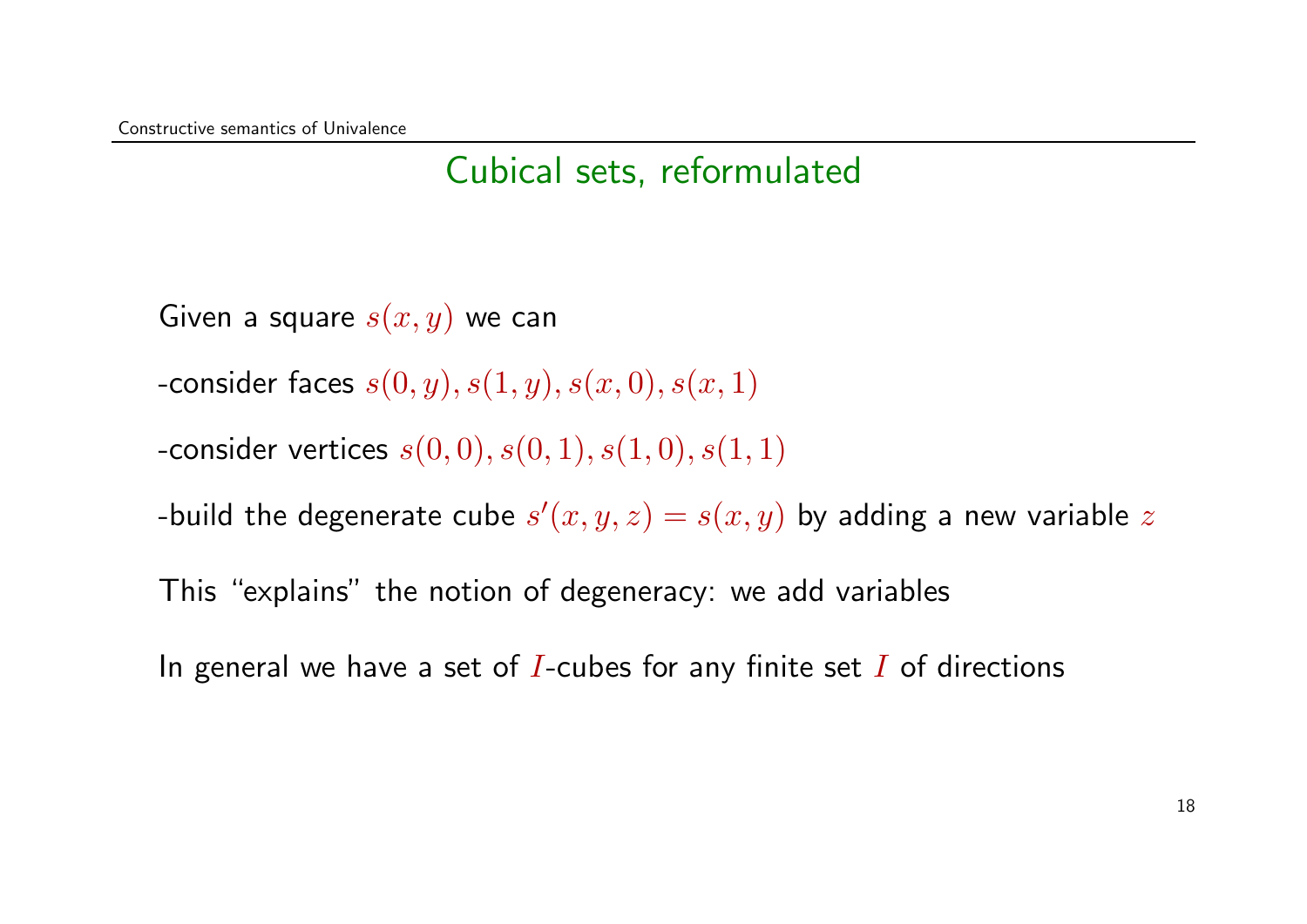Given a square  $s(x, y)$  we can

- -consider faces  $s(0, y), s(1, y), s(x, 0), s(x, 1)$
- -consider vertices  $s(0, 0), s(0, 1), s(1, 0), s(1, 1)$

-build the degenerate cube  $s'(x,y,z) = s(x,y)$  by adding a new variable  $z$ 

This "explains" the notion of degeneracy: we add variables

In general we have a set of I-cubes for any finite set I of directions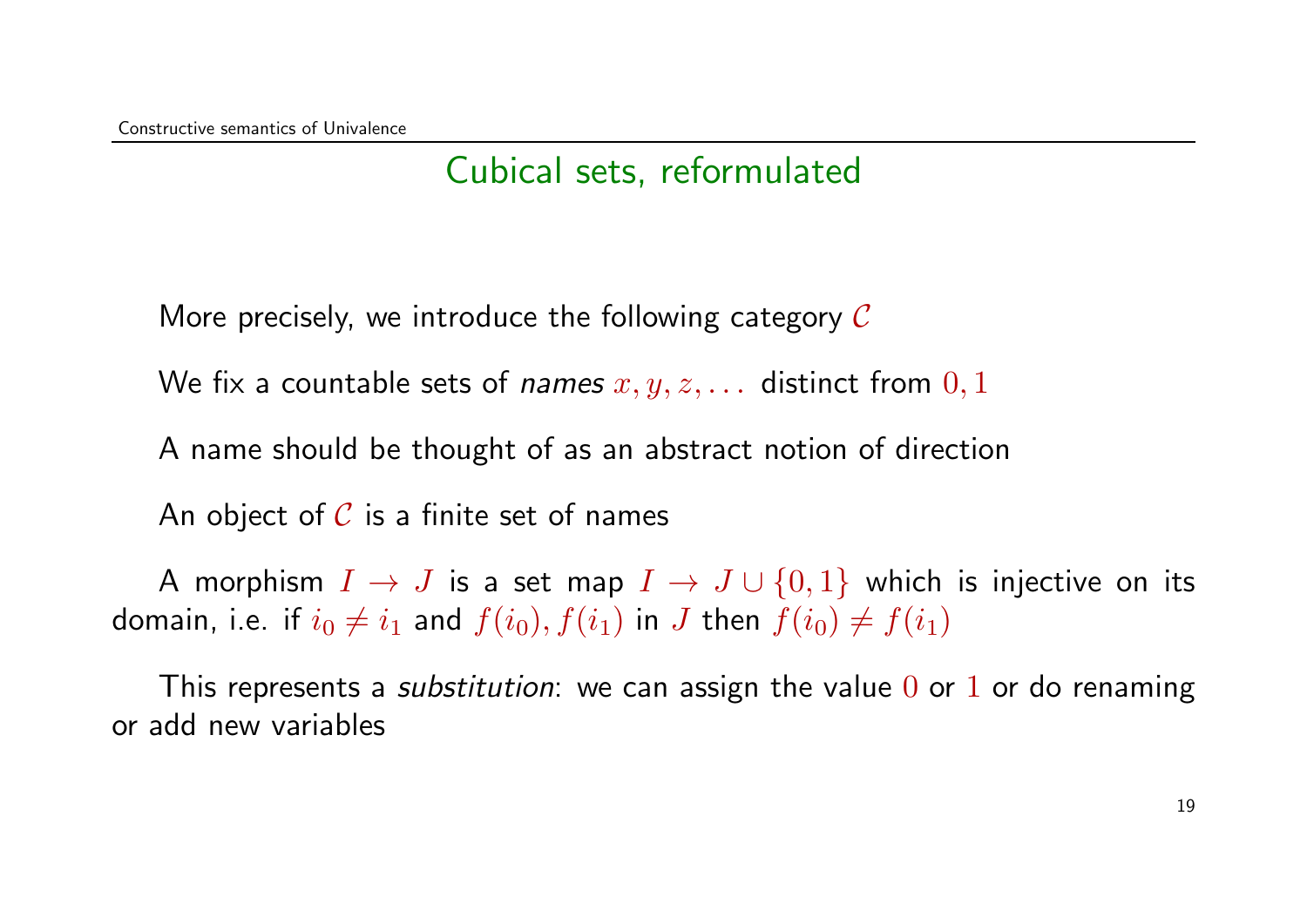More precisely, we introduce the following category  $\mathcal C$ 

We fix a countable sets of *names*  $x, y, z, \ldots$  distinct from  $0, 1$ 

A name should be thought of as an abstract notion of direction

An object of  $C$  is a finite set of names

A morphism  $I \to J$  is a set map  $I \to J \cup \{0,1\}$  which is injective on its domain, i.e. if  $i_0 \neq i_1$  and  $f(i_0), f(i_1)$  in J then  $f(i_0) \neq f(i_1)$ 

This represents a *substitution*: we can assign the value  $0$  or  $1$  or do renaming or add new variables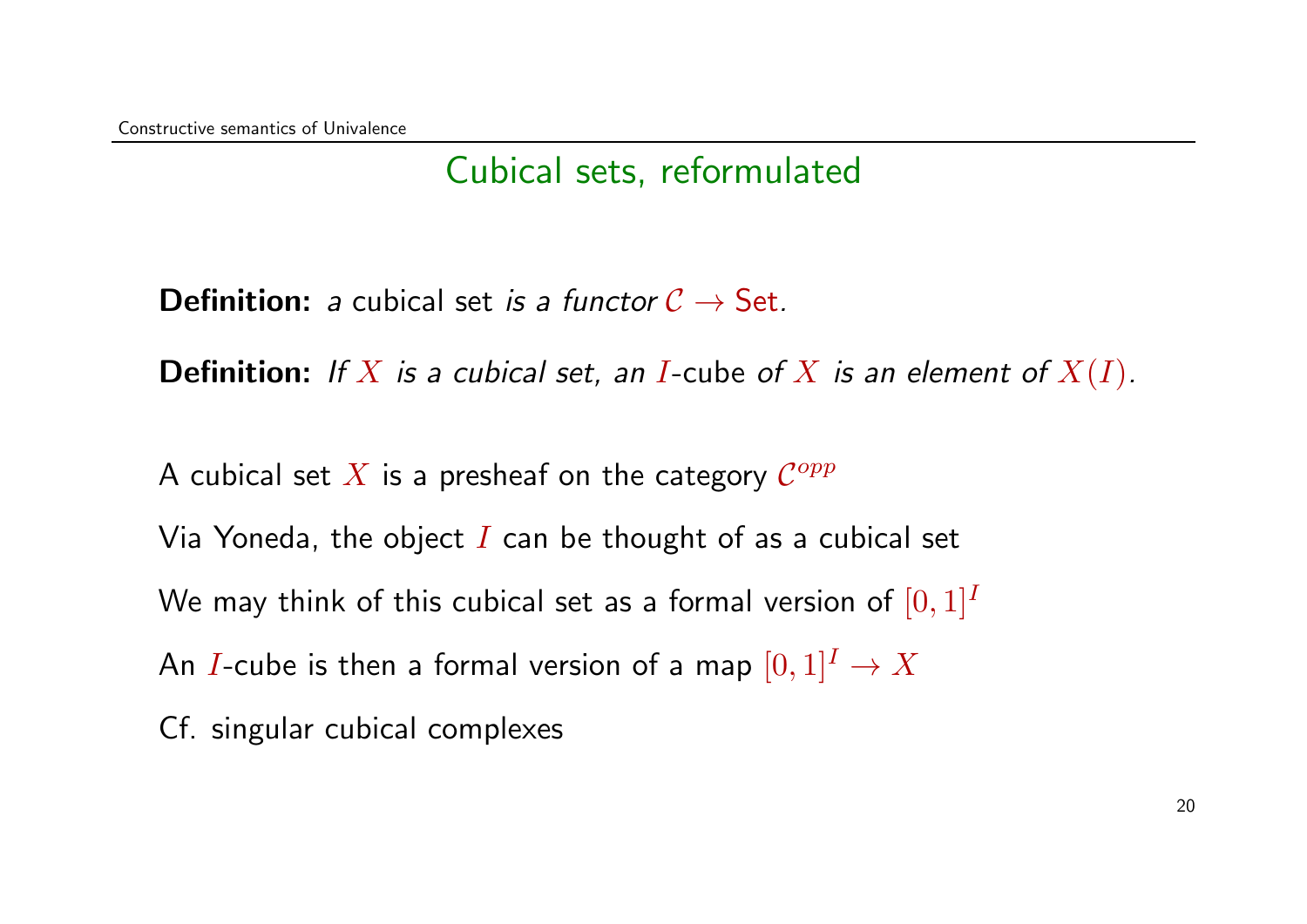**Definition:** a cubical set is a functor  $C \rightarrow$  Set.

**Definition:** If X is a cubical set, an I-cube of X is an element of  $X(I)$ .

A cubical set  $X$  is a presheaf on the category  $\mathcal{C}^{opp}$ 

Via Yoneda, the object  $I$  can be thought of as a cubical set

We may think of this cubical set as a formal version of  $[0, 1]^I$ 

An *I*-cube is then a formal version of a map  $[0, 1]^I \to X$ 

Cf. singular cubical complexes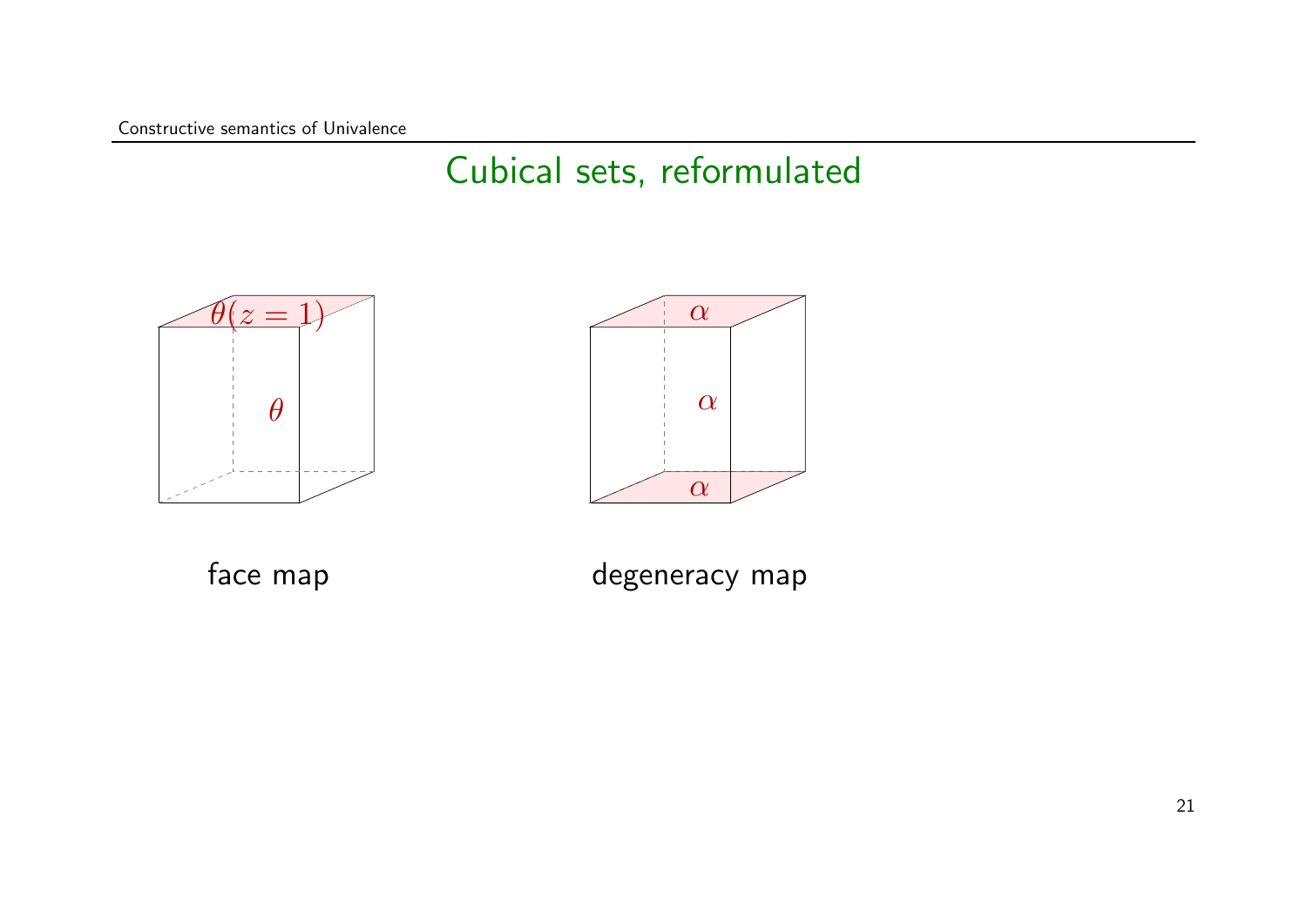Constructive semantics of Univalence

### Cubical sets, reformulated





face map

degeneracy map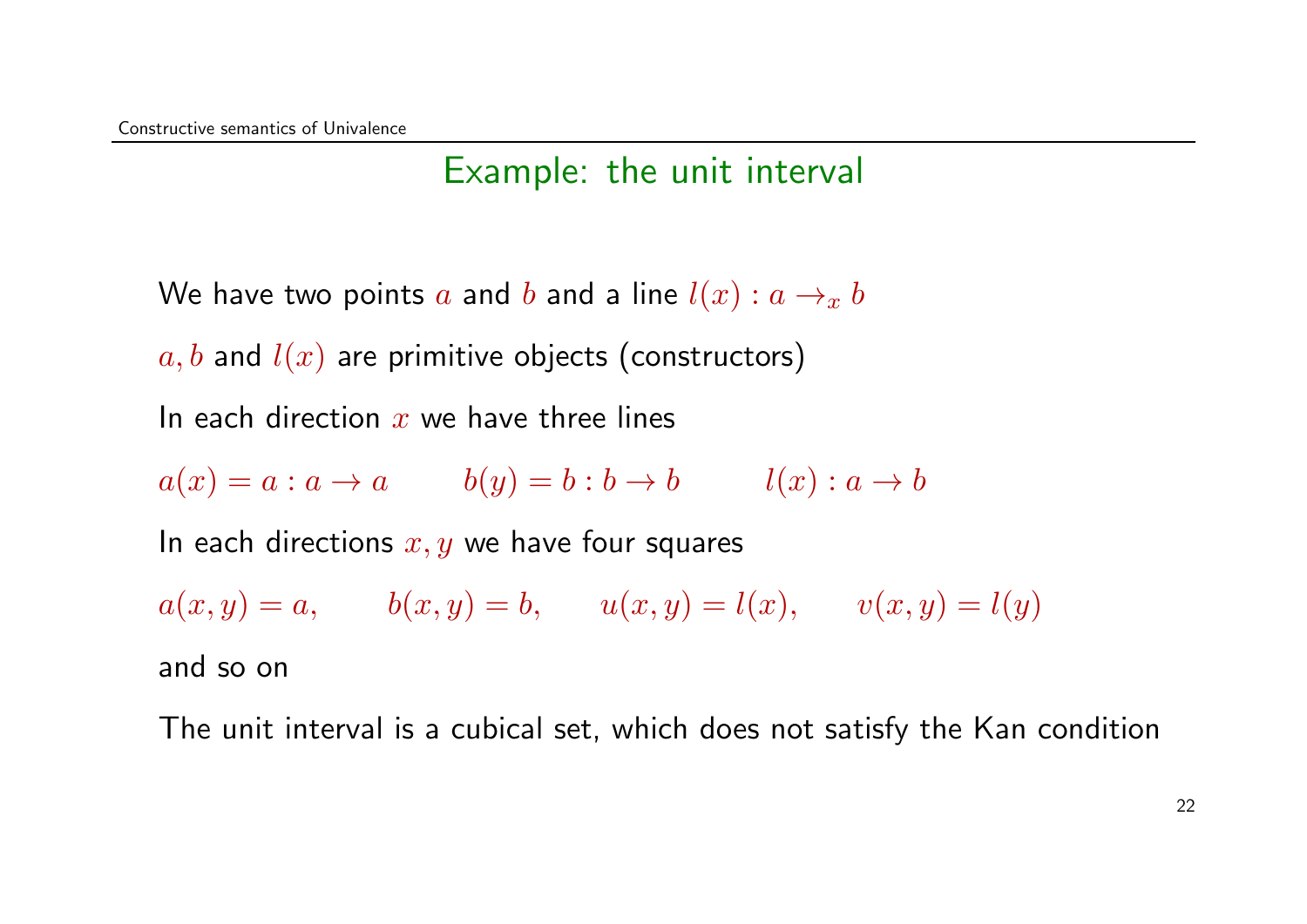#### Example: the unit interval

We have two points a and b and a line  $l(x) : a \rightarrow x b$ 

 $a, b$  and  $l(x)$  are primitive objects (constructors)

In each direction  $x$  we have three lines

 $a(x) = a : a \rightarrow a$   $b(y) = b : b \rightarrow b$   $l(x) : a \rightarrow b$ 

In each directions  $x, y$  we have four squares

 $a(x, y) = a,$   $b(x, y) = b,$   $u(x, y) = l(x),$   $v(x, y) = l(y)$ and so on

The unit interval is a cubical set, which does not satisfy the Kan condition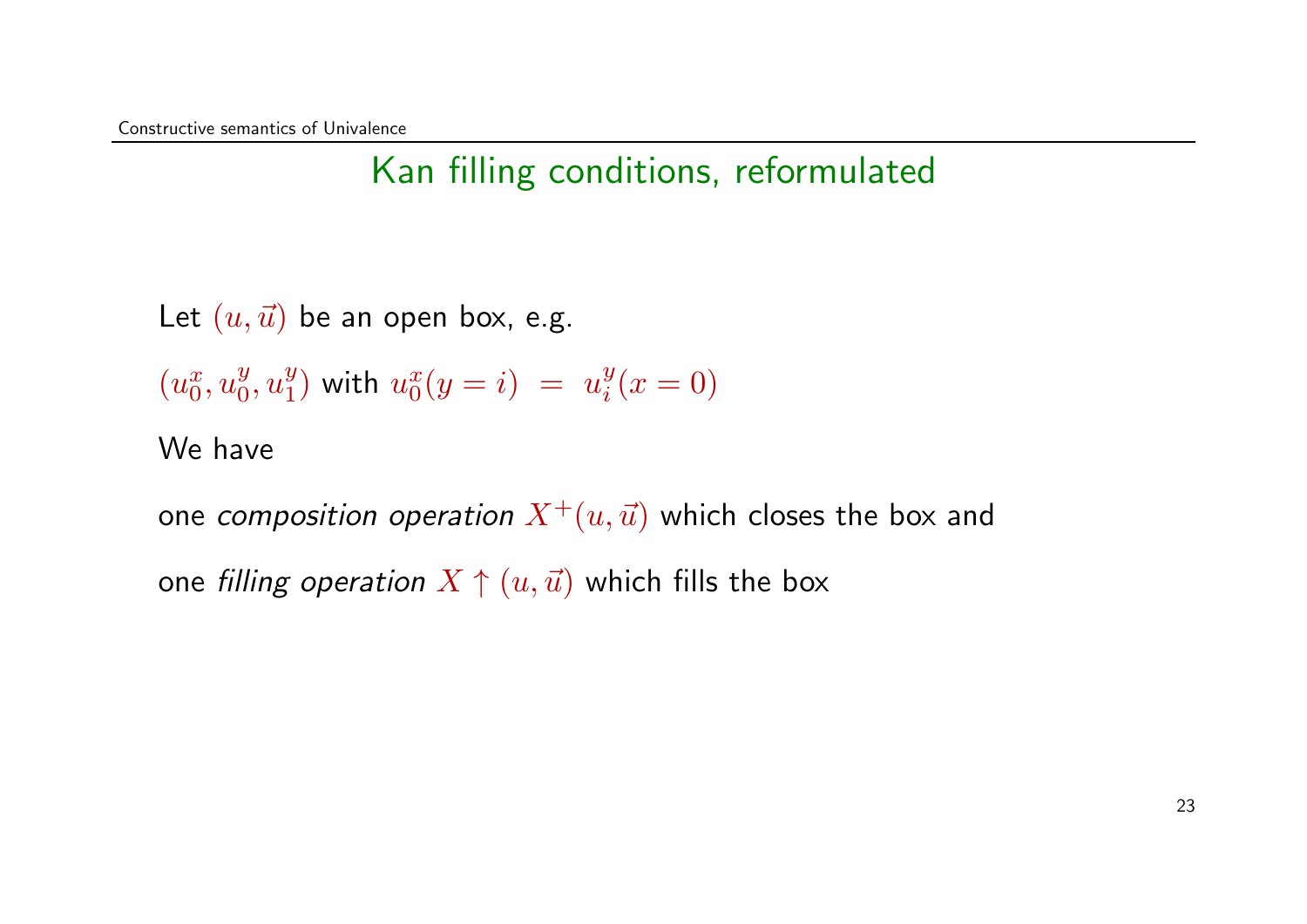Let  $(u, \vec{u})$  be an open box, e.g.

$$
(u_0^x, u_0^y, u_1^y) \text{ with } u_0^x(y = i) = u_i^y(x = 0)
$$

#### We have

one composition operation  $X^+(u,\vec u)$  which closes the box and one filling operation  $X \uparrow (u, \vec{u})$  which fills the box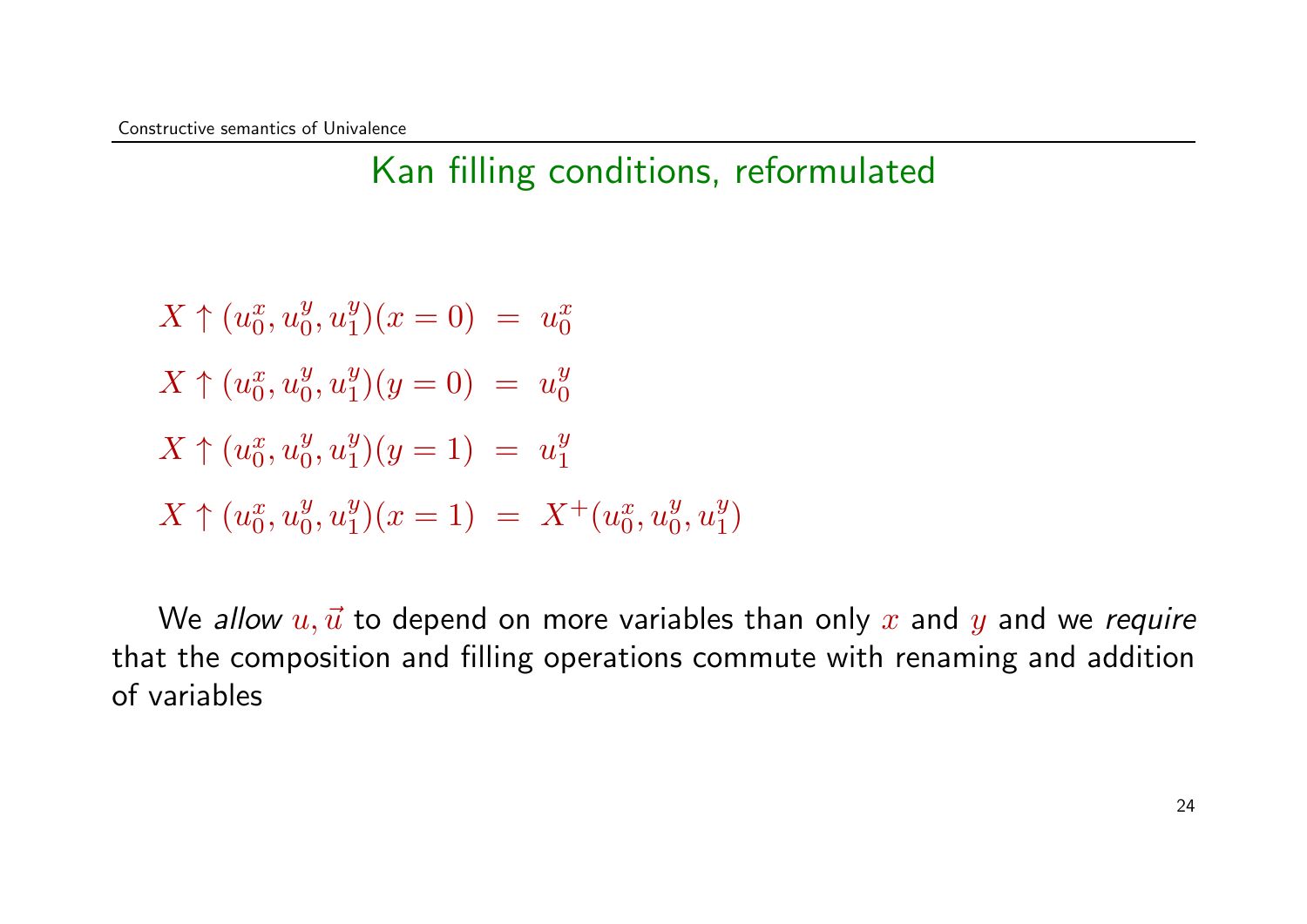$X \uparrow (u_0^x)$  $\frac{x}{0}, u_0^y$  $\frac{y}{0}, u^y_1$  $u_1^y(x=0) = u_0^x$ 0  $X \uparrow (u_0^x)$  $\frac{x}{0}, u_0^y$  $\frac{y}{0}, u^y_1$  $u_1^y(y=0) = u_0^y$ 0  $X \uparrow (u_0^x)$  $\frac{x}{0}, u_0^y$  $\frac{y}{0}, u^y_1$  $y_1^y(y=1) = u_1^y$ 1  $X \uparrow (u_0^x)$  $\frac{x}{0}, u_0^y$  $\frac{y}{0}, u^y_1$  $y_1^y(x=1) = X^+(u_0^x)$  $\frac{x}{0}, u_0^y$  $\frac{y}{0}, u^y_1$  $\genfrac{}{}{0pt}{}{y}{1}$ 

We allow  $u, \vec{u}$  to depend on more variables than only x and y and we require that the composition and filling operations commute with renaming and addition of variables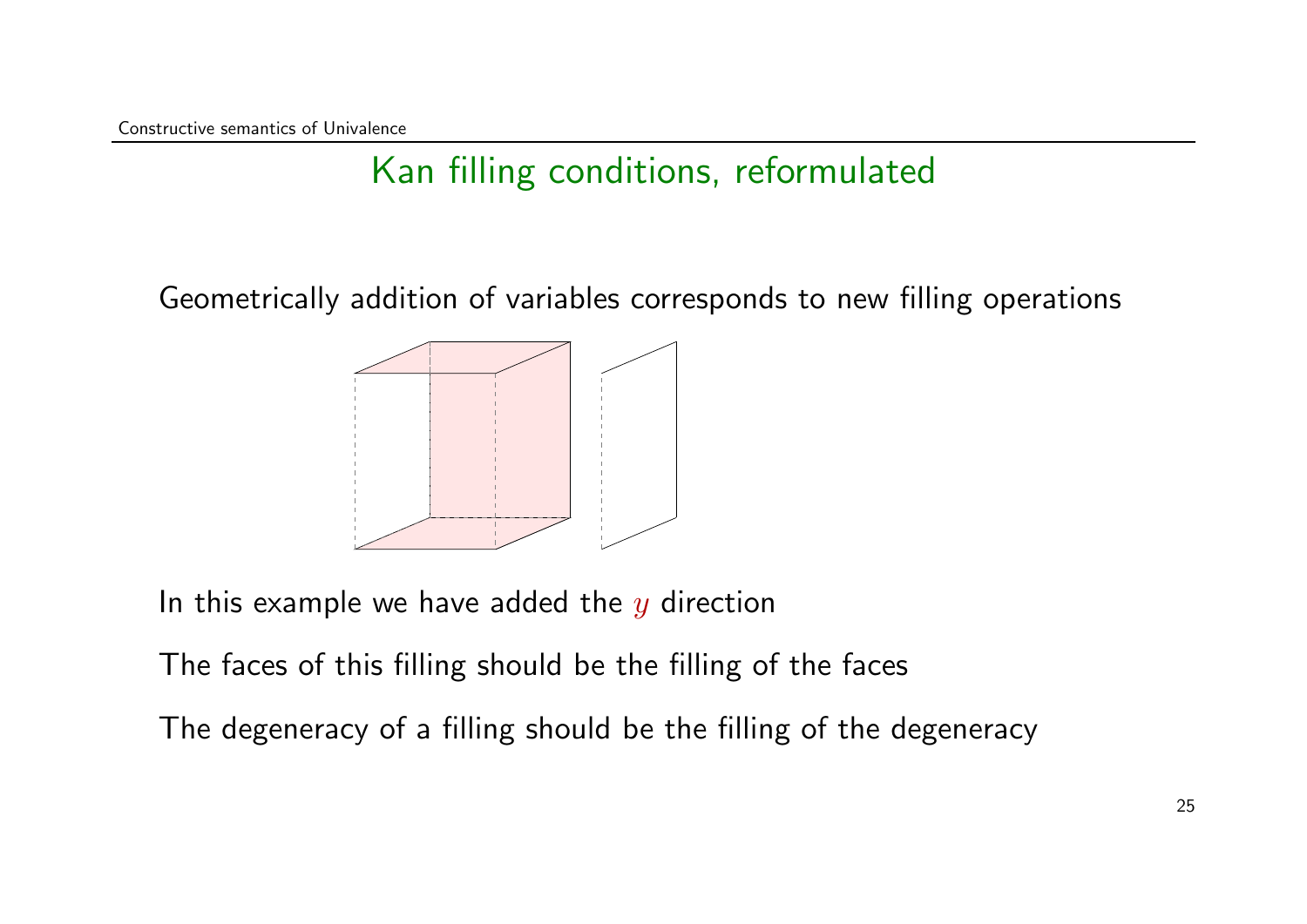Geometrically addition of variables corresponds to new filling operations



In this example we have added the  $y$  direction

The faces of this filling should be the filling of the faces

The degeneracy of a filling should be the filling of the degeneracy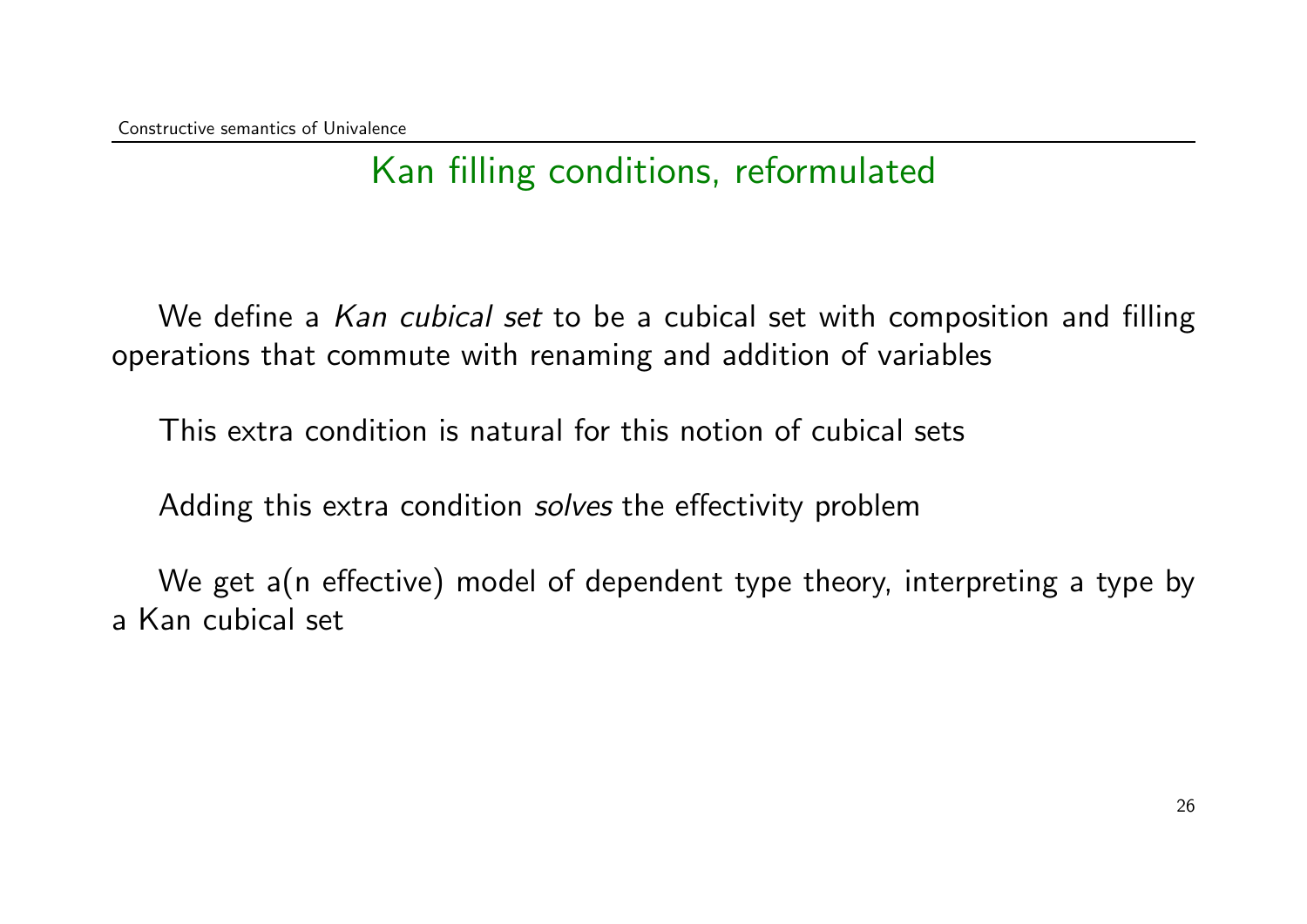We define a Kan cubical set to be a cubical set with composition and filling operations that commute with renaming and addition of variables

This extra condition is natural for this notion of cubical sets

Adding this extra condition *solves* the effectivity problem

We get a(n effective) model of dependent type theory, interpreting a type by a Kan cubical set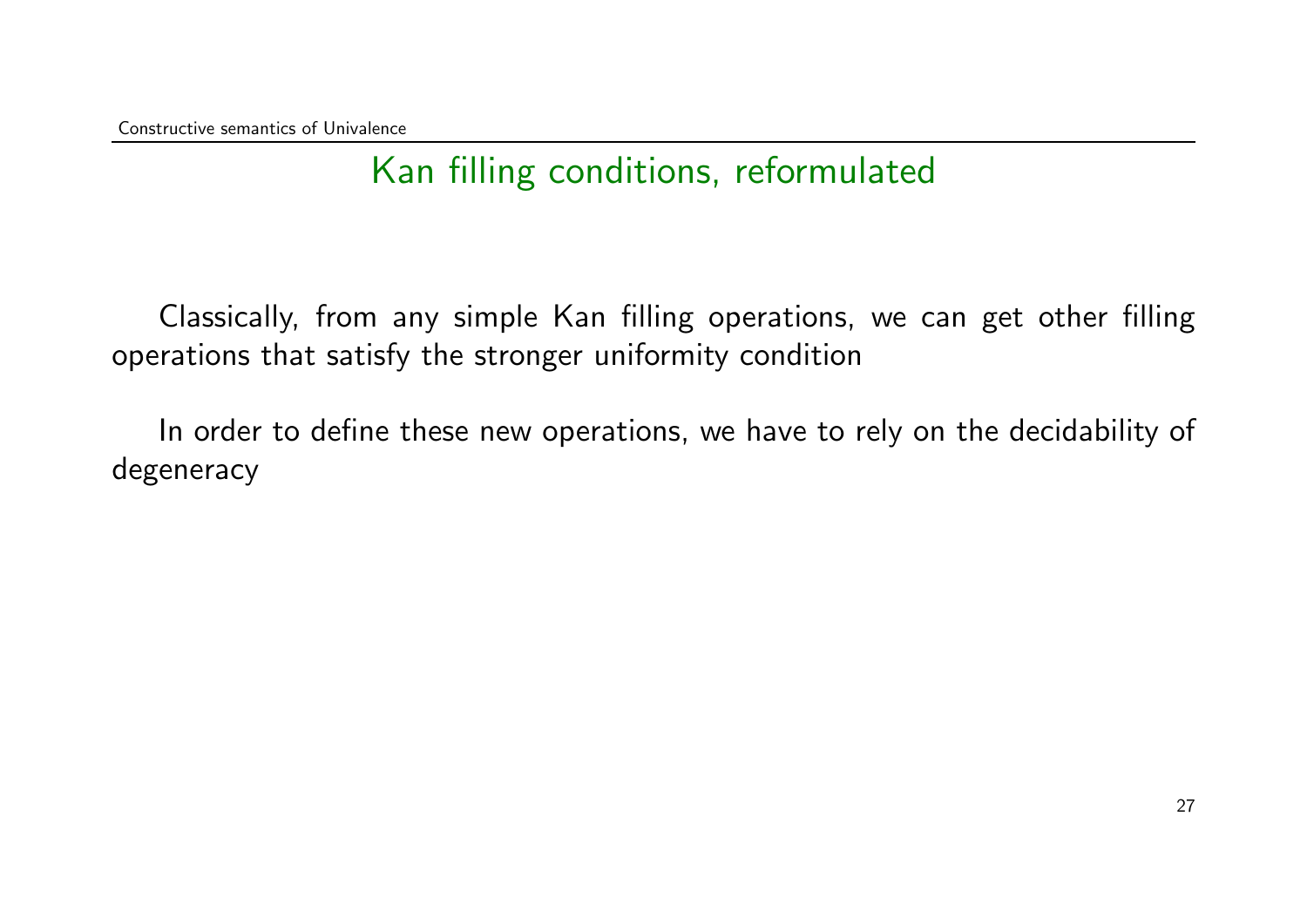Classically, from any simple Kan filling operations, we can get other filling operations that satisfy the stronger uniformity condition

In order to define these new operations, we have to rely on the decidability of degeneracy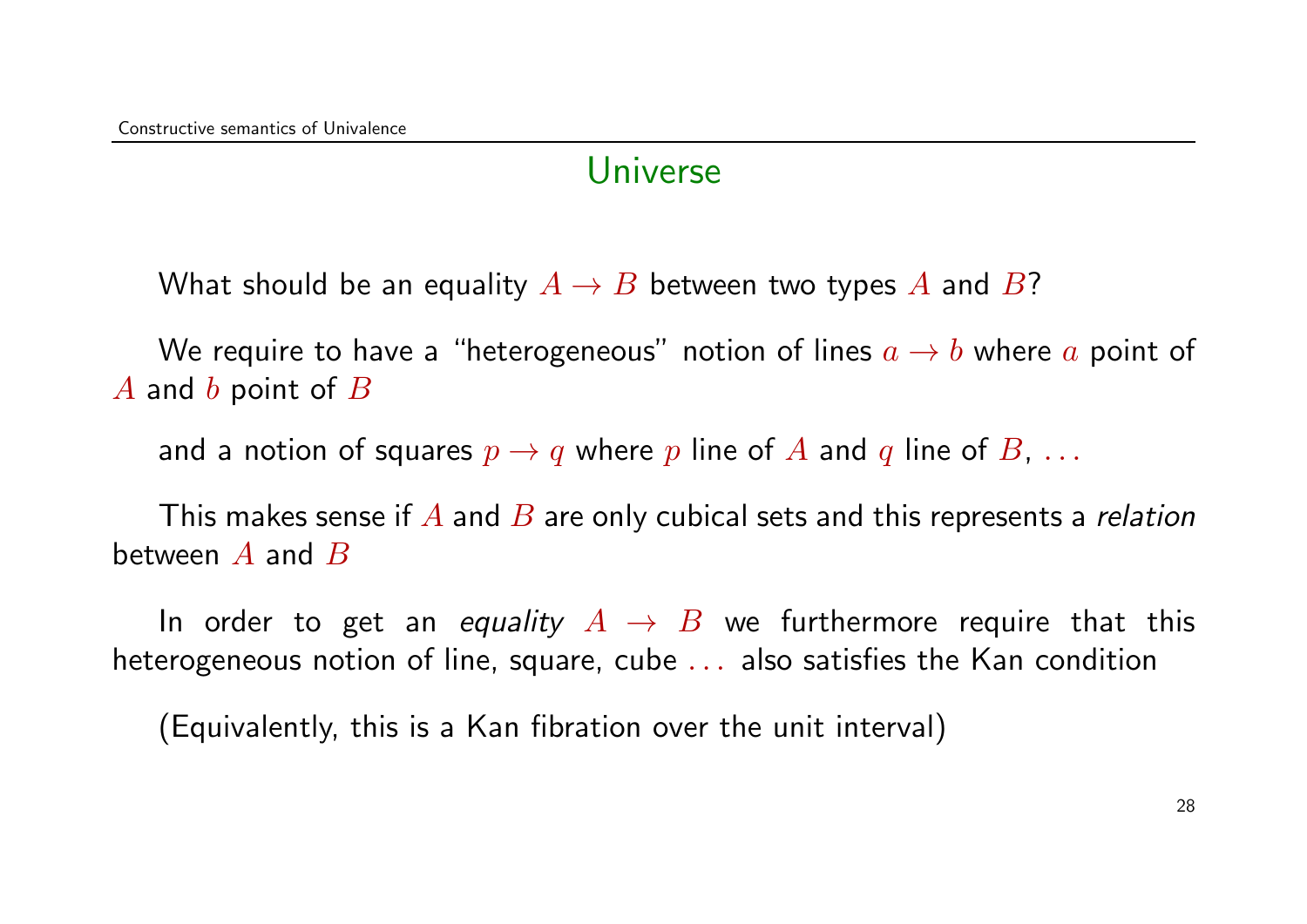#### Universe

What should be an equality  $A \to B$  between two types A and B?

We require to have a "heterogeneous" notion of lines  $a \rightarrow b$  where a point of  $\overline{A}$  and  $\overline{b}$  point of  $\overline{B}$ 

and a notion of squares  $p \to q$  where p line of A and q line of B, ...

This makes sense if  $A$  and  $B$  are only cubical sets and this represents a *relation* between  $A$  and  $B$ 

In order to get an equality  $A \rightarrow B$  we furthermore require that this heterogeneous notion of line, square, cube . . . also satisfies the Kan condition

(Equivalently, this is a Kan fibration over the unit interval)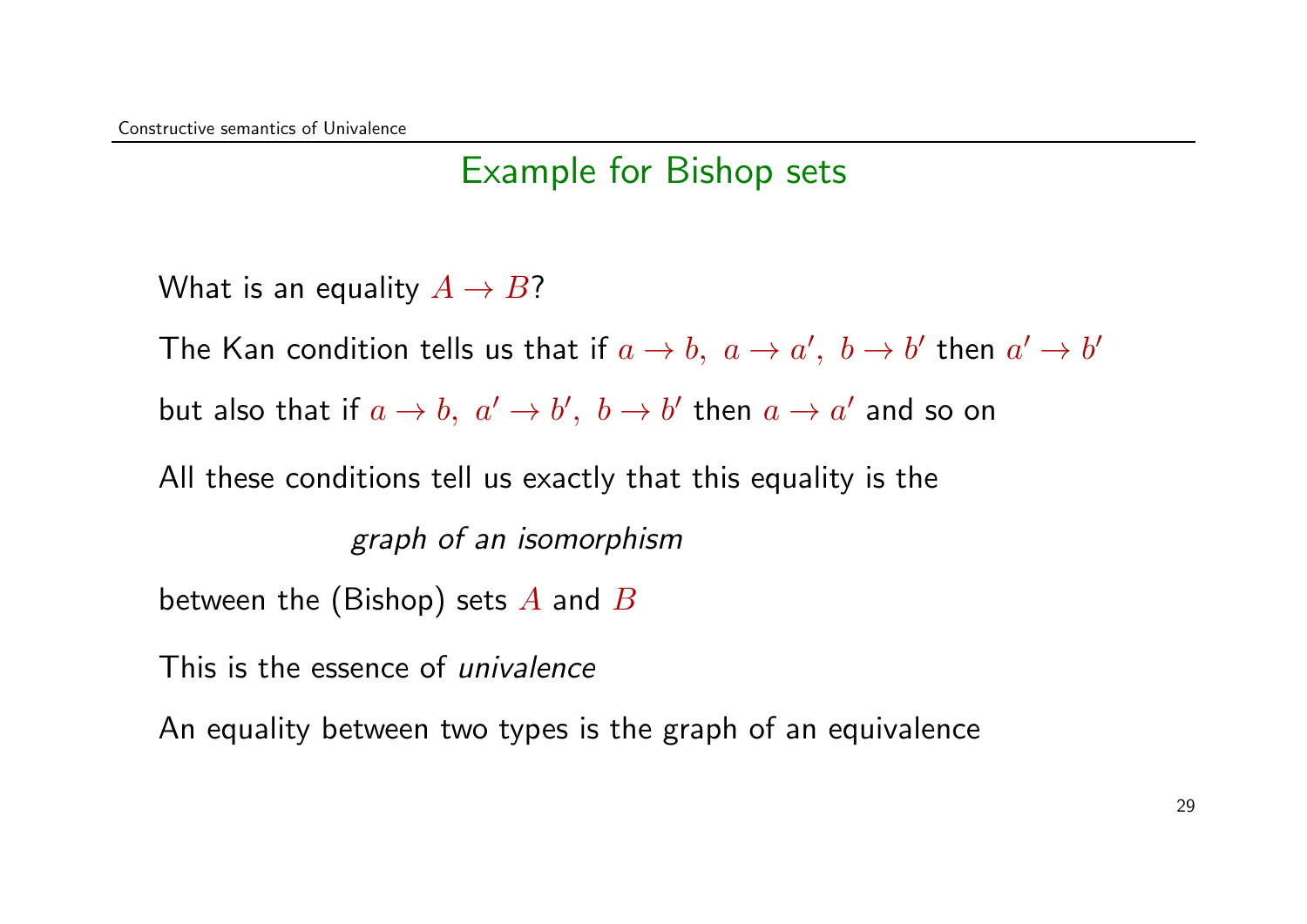### Example for Bishop sets

What is an equality  $A \rightarrow B$ ?

The Kan condition tells us that if  $a \to b, \,\, a \to a', \,\, b \to b'$  then  $a' \to b'$ 

but also that if  $a \to b, \; a' \to b', \; b \to b'$  then  $a \to a'$  and so on

All these conditions tell us exactly that this equality is the

graph of an isomorphism

between the (Bishop) sets  $A$  and  $B$ 

This is the essence of *univalence* 

An equality between two types is the graph of an equivalence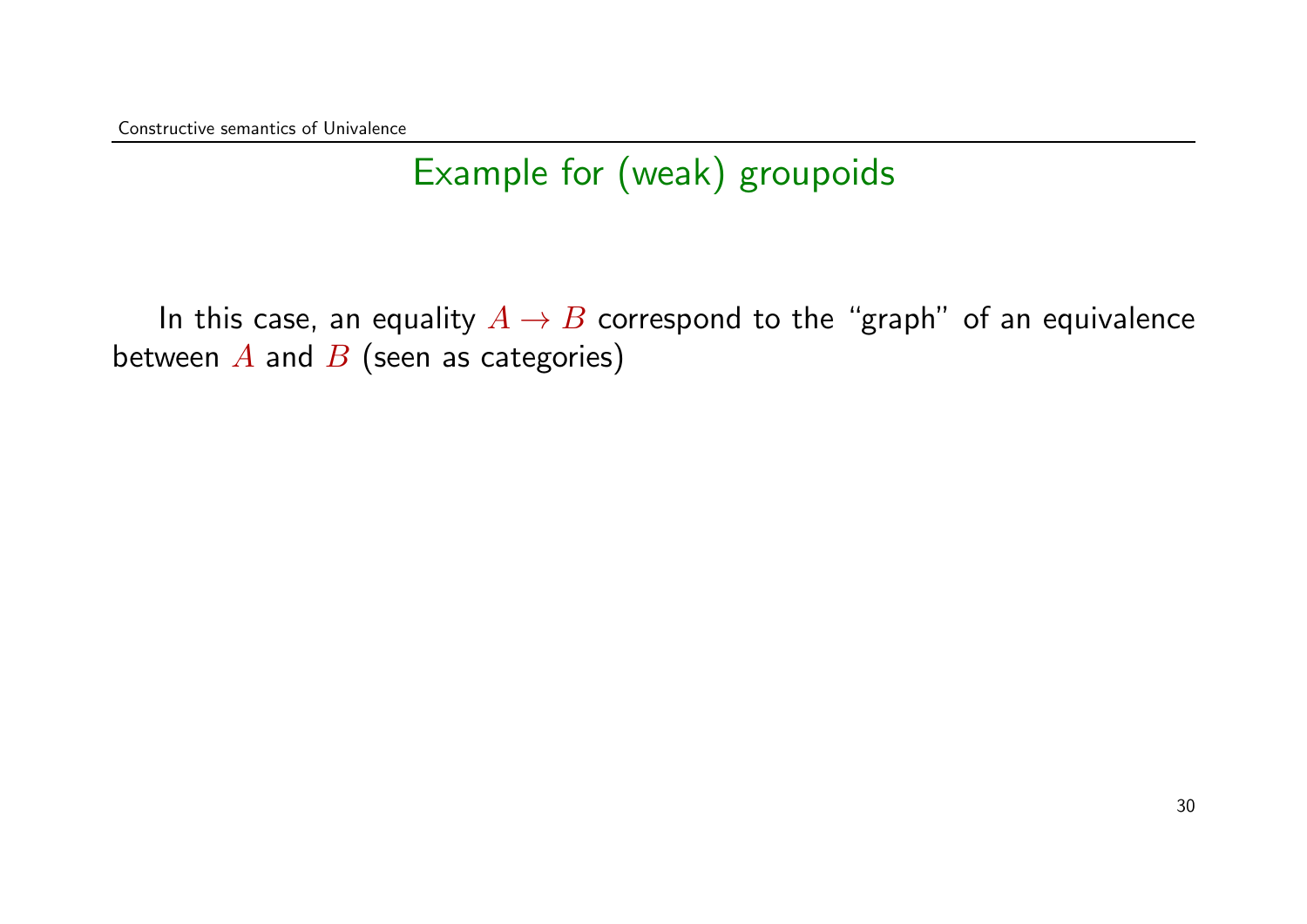## Example for (weak) groupoids

In this case, an equality  $A \rightarrow B$  correspond to the "graph" of an equivalence between  $A$  and  $B$  (seen as categories)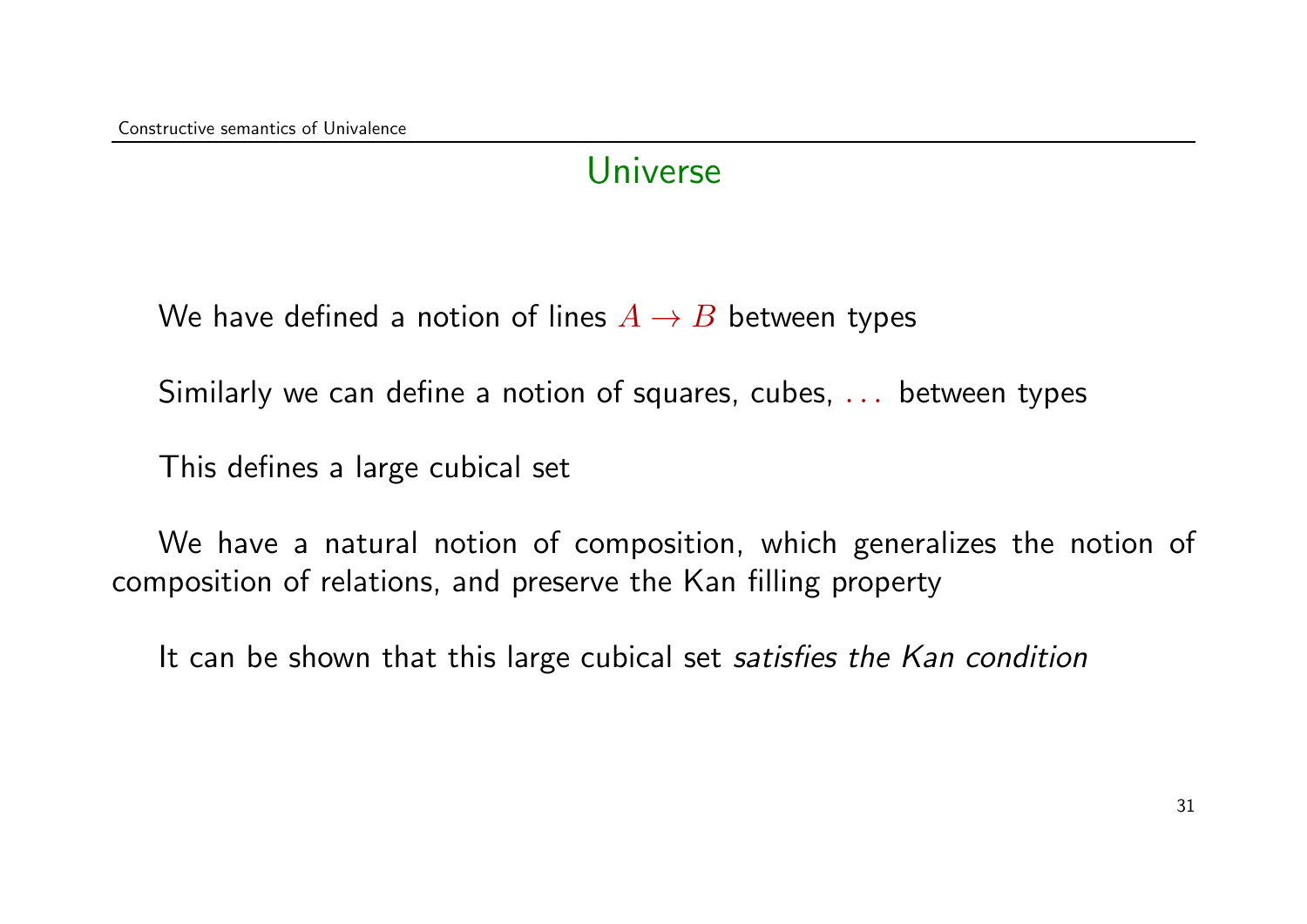#### Universe

We have defined a notion of lines  $A \rightarrow B$  between types

Similarly we can define a notion of squares, cubes, . . . between types

This defines a large cubical set

We have a natural notion of composition, which generalizes the notion of composition of relations, and preserve the Kan filling property

It can be shown that this large cubical set satisfies the Kan condition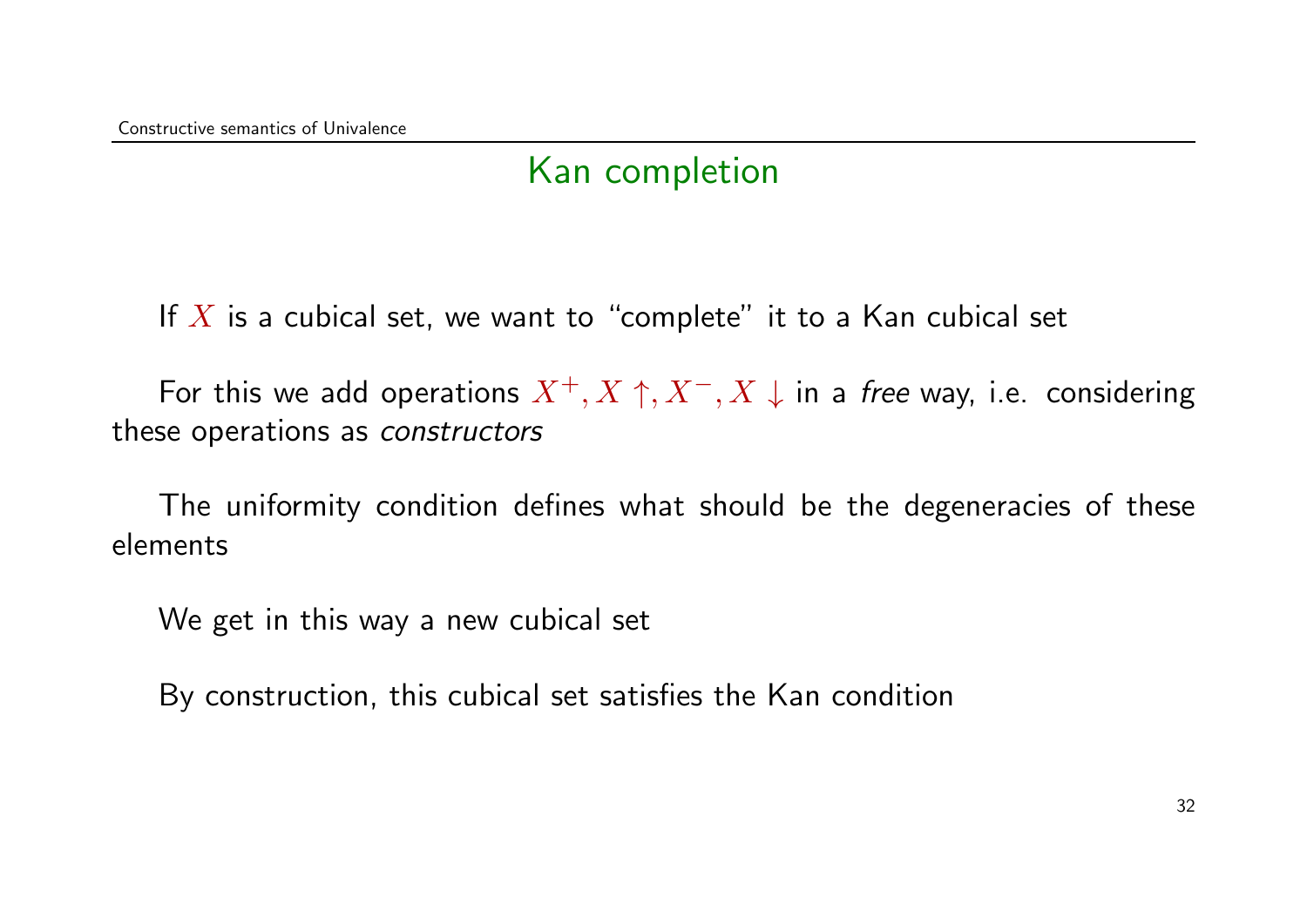### Kan completion

If  $X$  is a cubical set, we want to "complete" it to a Kan cubical set

For this we add operations  $X^+, X^-, X^-, X \downarrow$  in a free way, i.e. considering these operations as constructors

The uniformity condition defines what should be the degeneracies of these elements

We get in this way a new cubical set

By construction, this cubical set satisfies the Kan condition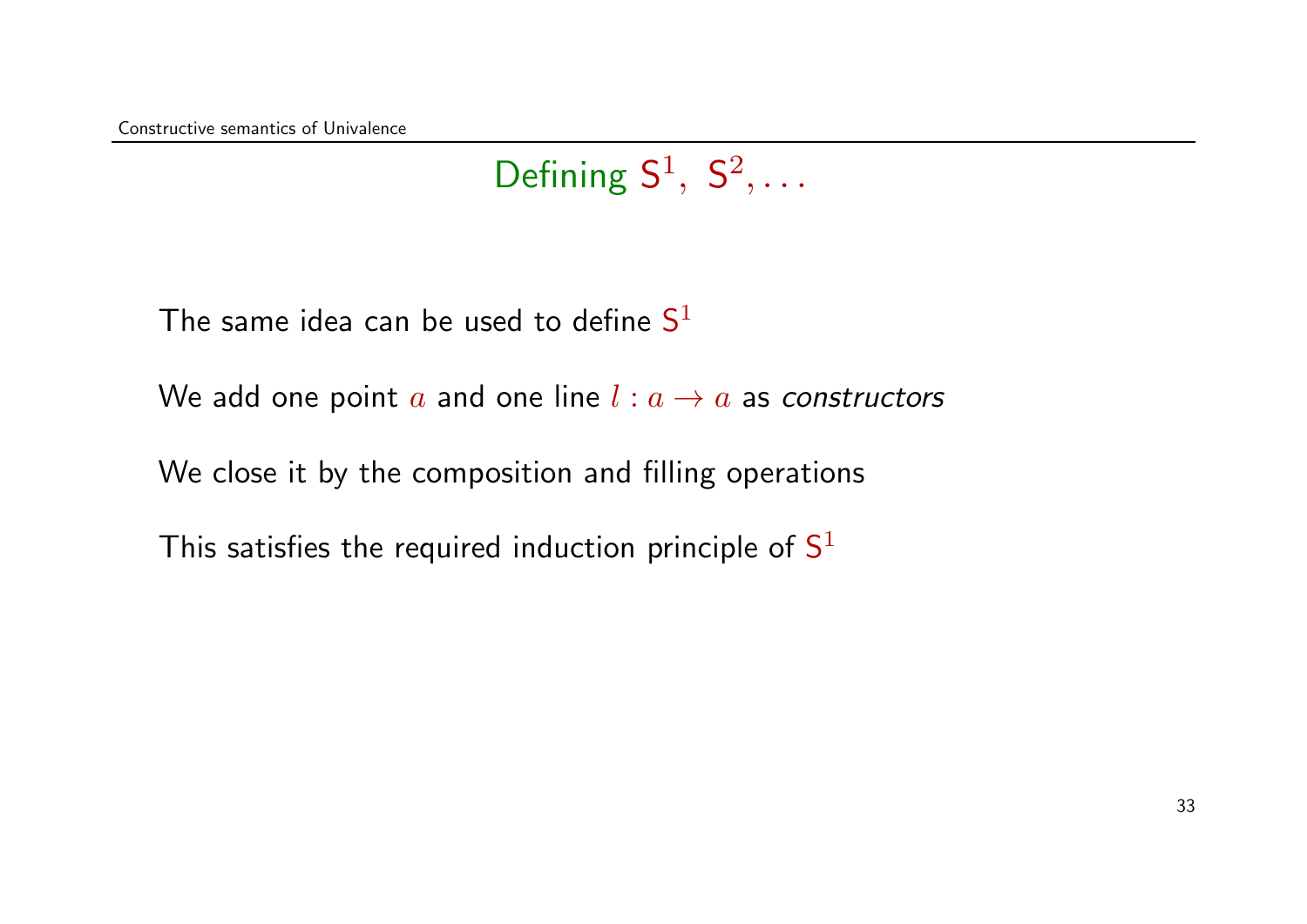# Defining  $S^1$ ,  $S^2$ , ...

The same idea can be used to define  $\mathsf{S}^1$ 

We add one point a and one line  $l : a \rightarrow a$  as constructors

We close it by the composition and filling operations

This satisfies the required induction principle of  $\mathsf{S}^1$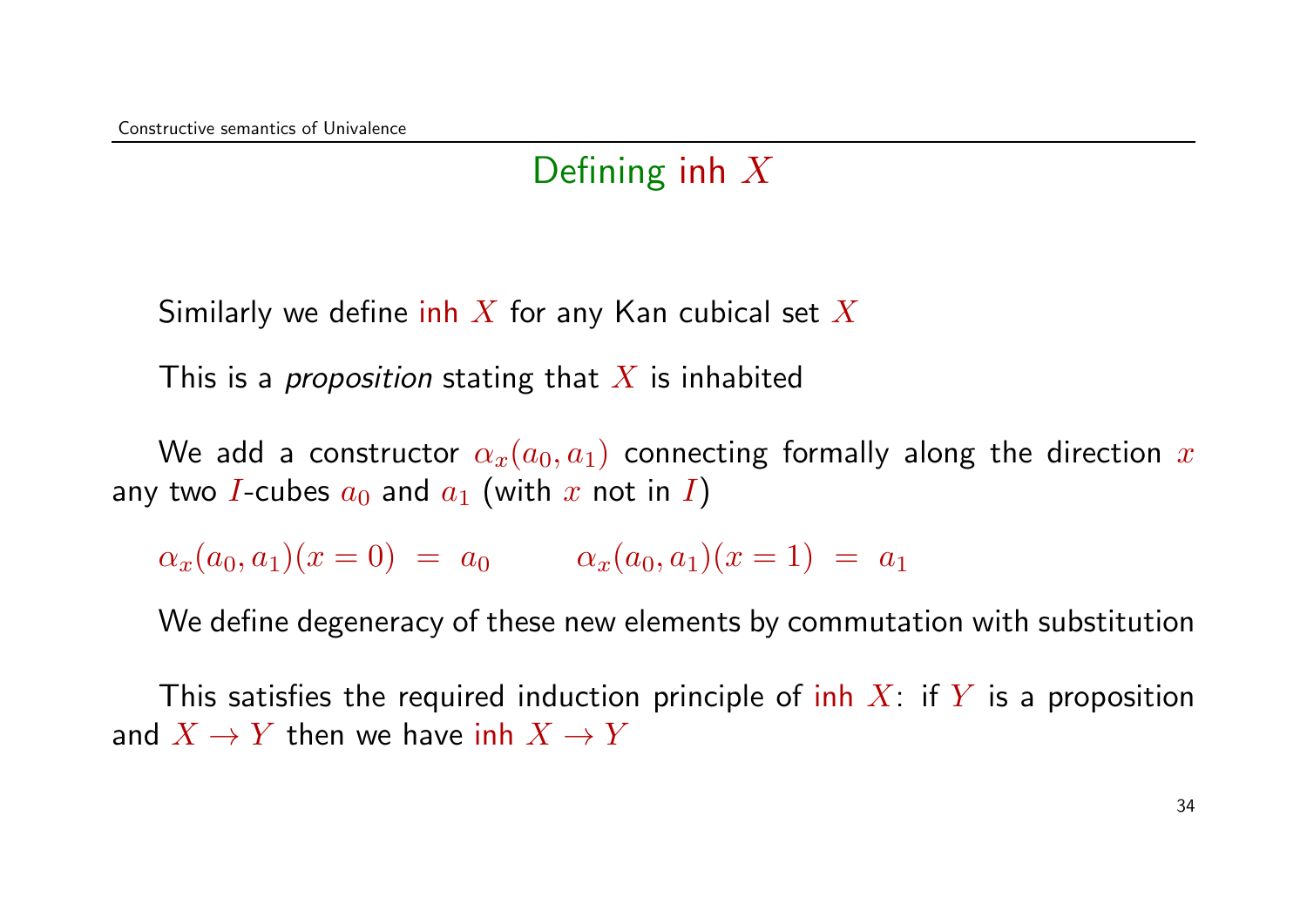### Defining inh  $X$

Similarly we define inh X for any Kan cubical set X

This is a *proposition* stating that X is inhabited

We add a constructor  $\alpha_x(a_0, a_1)$  connecting formally along the direction x any two I-cubes  $a_0$  and  $a_1$  (with x not in I)

 $\alpha_x(a_0, a_1)(x = 0) = a_0 \qquad \alpha_x(a_0, a_1)(x = 1) = a_1$ 

We define degeneracy of these new elements by commutation with substitution

This satisfies the required induction principle of inh  $X$ : if Y is a proposition and  $X \to Y$  then we have inh  $X \to Y$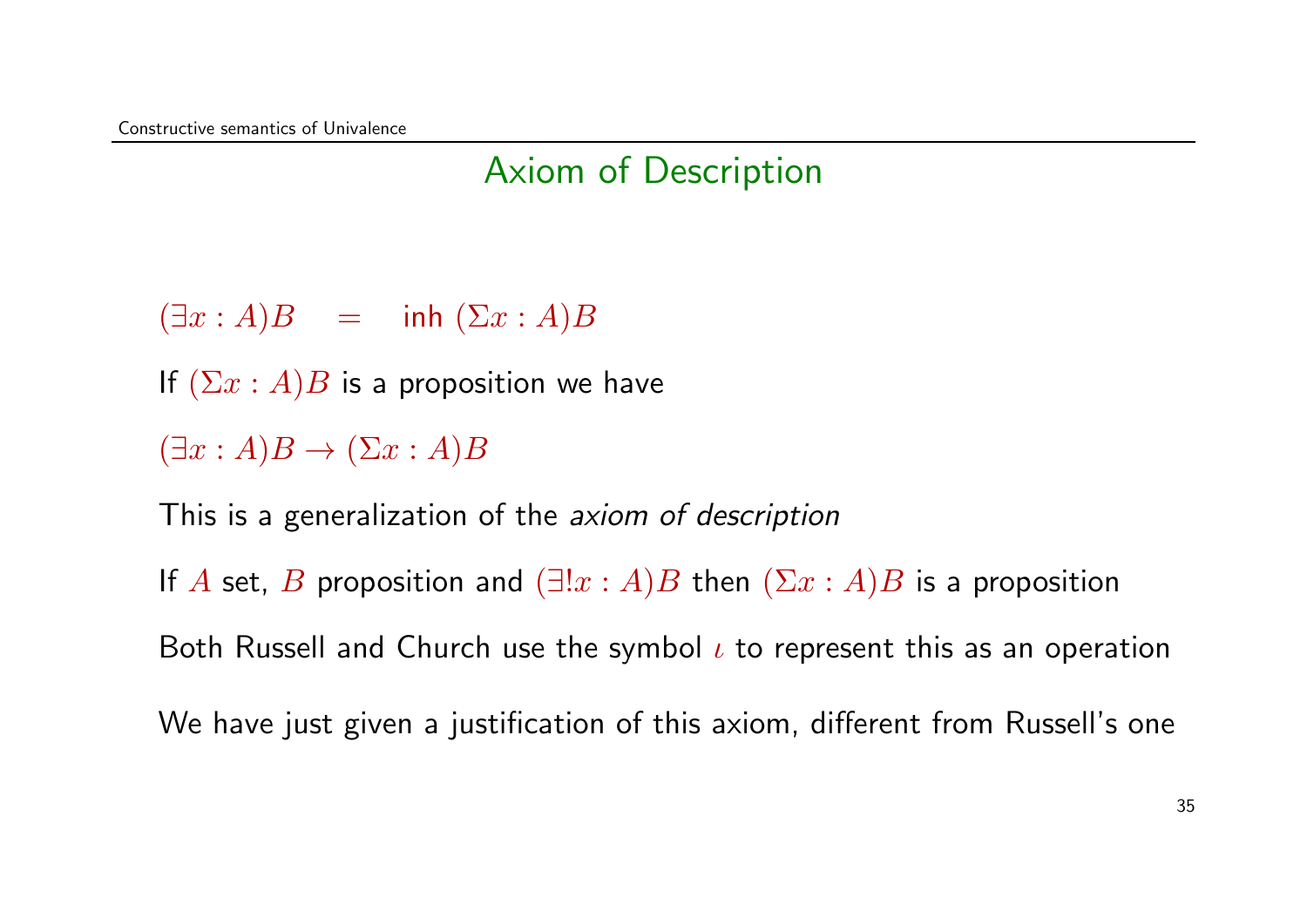### Axiom of Description

 $(\exists x : A)B = \text{inh } (\Sigma x : A)B$ 

If  $(\Sigma x : A)B$  is a proposition we have

 $(\exists x:A)B \rightarrow (\Sigma x:A)B$ 

This is a generalization of the *axiom of description* 

If A set, B proposition and  $(\exists!x:A)B$  then  $(\Sigma x:A)B$  is a proposition

Both Russell and Church use the symbol  $\iota$  to represent this as an operation

We have just given a justification of this axiom, different from Russell's one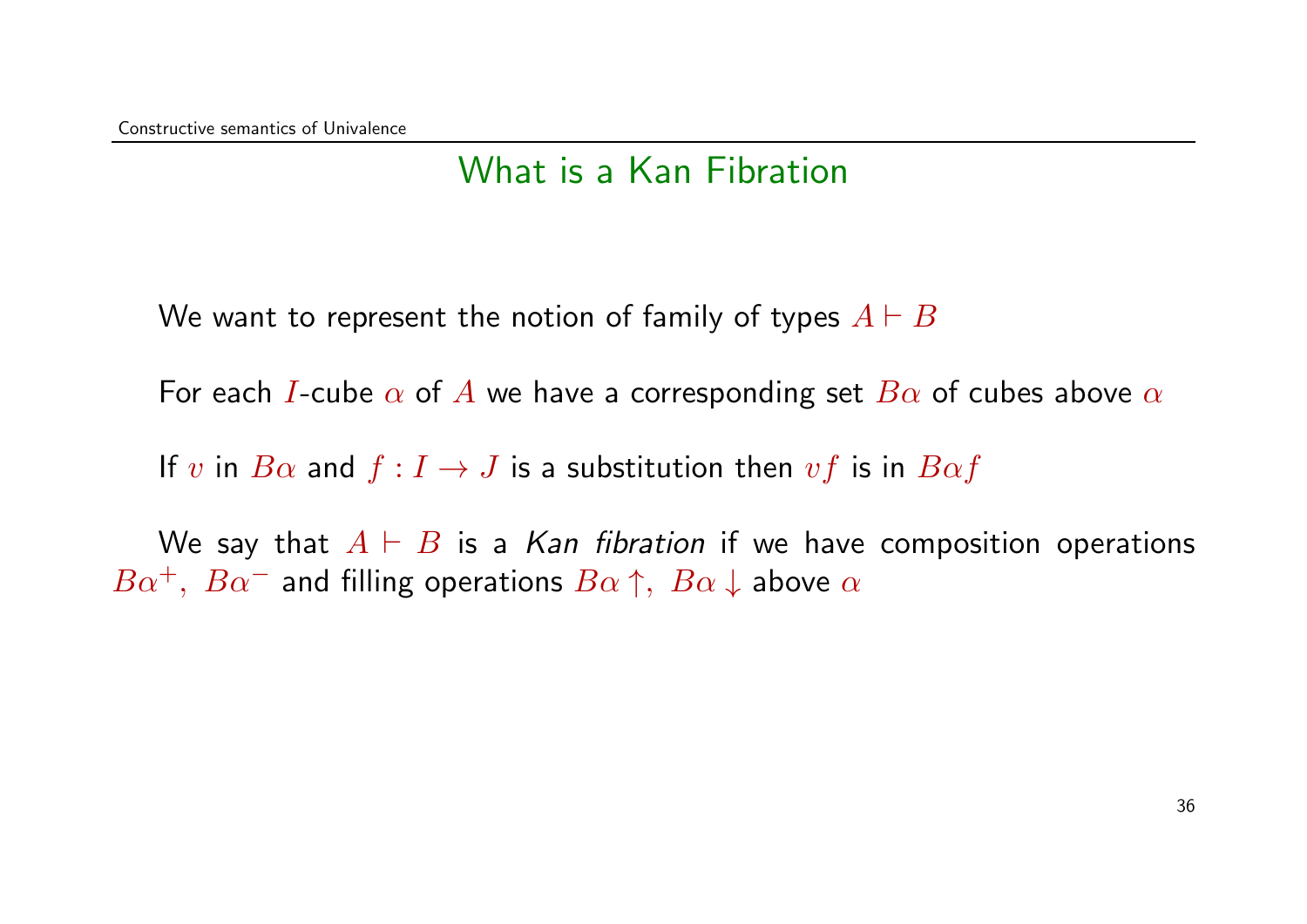#### What is a Kan Fibration

We want to represent the notion of family of types  $A \vdash B$ 

For each I-cube  $\alpha$  of A we have a corresponding set  $B\alpha$  of cubes above  $\alpha$ 

If v in  $B\alpha$  and  $f: I \to J$  is a substitution then  $vf$  is in  $B\alpha f$ 

We say that  $A \vdash B$  is a Kan fibration if we have composition operations  $B\alpha^+$ ,  $B\alpha^-$  and filling operations  $B\alpha \uparrow$ ,  $B\alpha \downarrow$  above  $\alpha$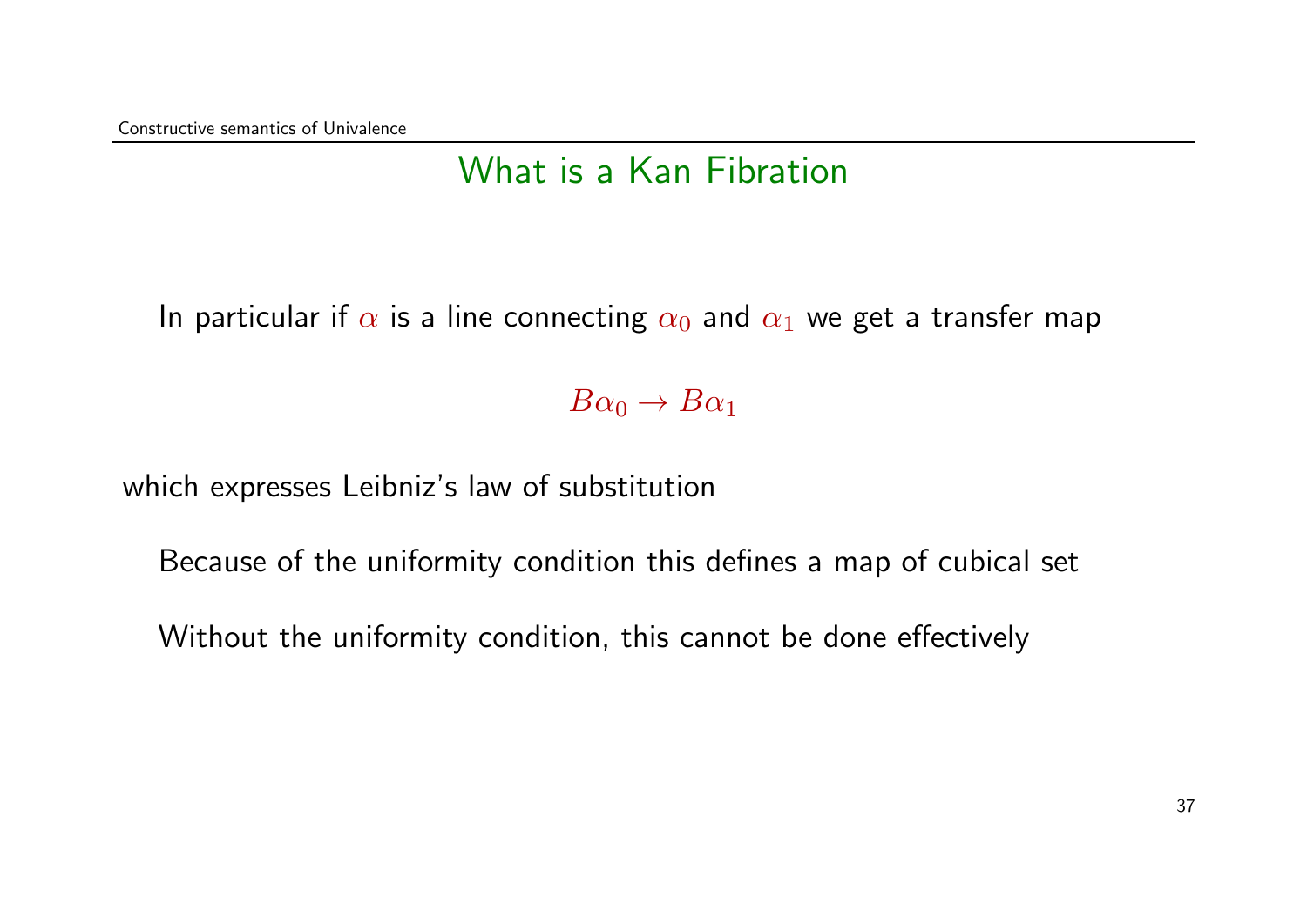### What is a Kan Fibration

In particular if  $\alpha$  is a line connecting  $\alpha_0$  and  $\alpha_1$  we get a transfer map

 $B\alpha_0 \rightarrow B\alpha_1$ 

which expresses Leibniz's law of substitution

Because of the uniformity condition this defines a map of cubical set

Without the uniformity condition, this cannot be done effectively